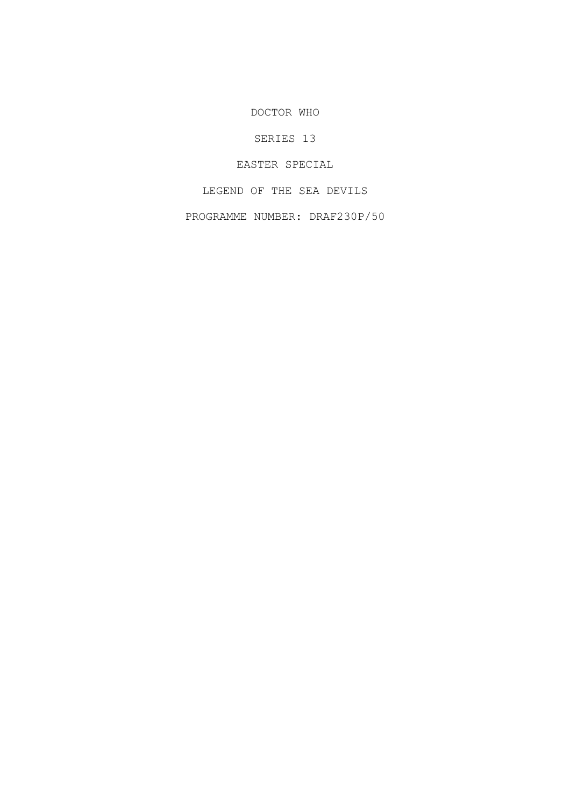DOCTOR WHO

SERIES 13

EASTER SPECIAL

LEGEND OF THE SEA DEVILS

PROGRAMME NUMBER: DRAF230P/50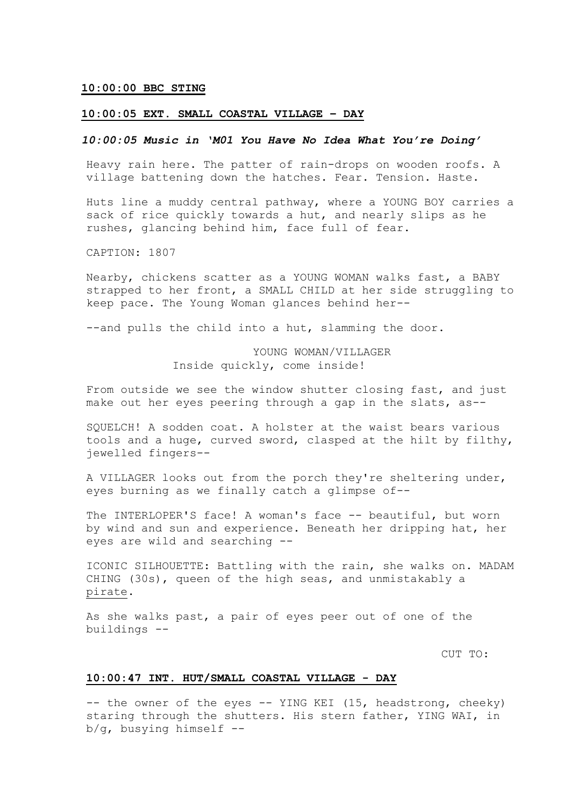### **10:00:00 BBC STING**

### **10:00:05 EXT. SMALL COASTAL VILLAGE – DAY**

## *10:00:05 Music in 'M01 You Have No Idea What You're Doing'*

Heavy rain here. The patter of rain-drops on wooden roofs. A village battening down the hatches. Fear. Tension. Haste.

Huts line a muddy central pathway, where a YOUNG BOY carries a sack of rice quickly towards a hut, and nearly slips as he rushes, glancing behind him, face full of fear.

CAPTION: 1807

Nearby, chickens scatter as a YOUNG WOMAN walks fast, a BABY strapped to her front, a SMALL CHILD at her side struggling to keep pace. The Young Woman glances behind her--

--and pulls the child into a hut, slamming the door.

## YOUNG WOMAN/VILLAGER Inside quickly, come inside!

From outside we see the window shutter closing fast, and just make out her eyes peering through a gap in the slats, as--

SQUELCH! A sodden coat. A holster at the waist bears various tools and a huge, curved sword, clasped at the hilt by filthy, jewelled fingers--

A VILLAGER looks out from the porch they're sheltering under, eyes burning as we finally catch a glimpse of--

The INTERLOPER'S face! A woman's face -- beautiful, but worn by wind and sun and experience. Beneath her dripping hat, her eyes are wild and searching --

ICONIC SILHOUETTE: Battling with the rain, she walks on. MADAM CHING (30s), queen of the high seas, and unmistakably a pirate.

As she walks past, a pair of eyes peer out of one of the buildings --

CUT TO:

### **10:00:47 INT. HUT/SMALL COASTAL VILLAGE - DAY**

-- the owner of the eyes -- YING KEI (15, headstrong, cheeky) staring through the shutters. His stern father, YING WAI, in b/g, busying himself --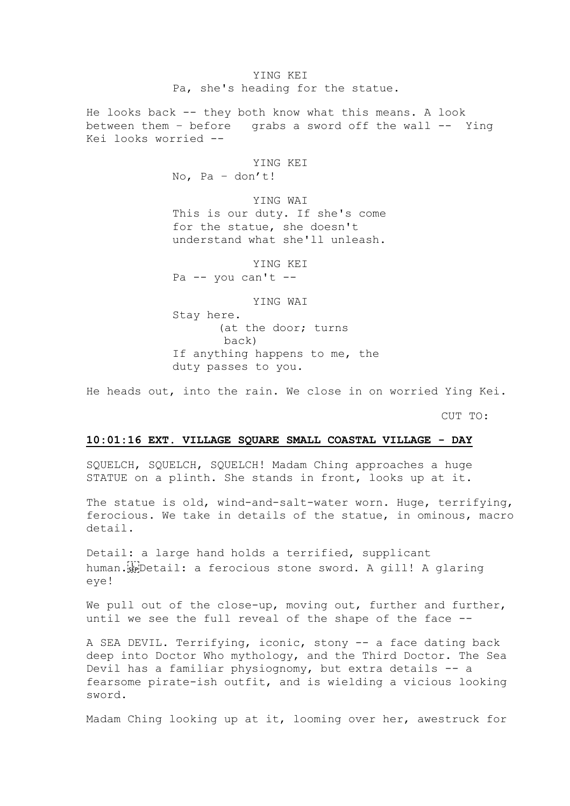YING KEI Pa, she's heading for the statue.

He looks back -- they both know what this means. A look between them – before grabs a sword off the wall -- Ying Kei looks worried --

> YING KEI No, Pa – don't!

YING WAI This is our duty. If she's come for the statue, she doesn't understand what she'll unleash.

YING KEI Pa  $-$  you can't  $-$ 

YING WAI

Stay here. (at the door; turns back) If anything happens to me, the duty passes to you.

He heads out, into the rain. We close in on worried Ying Kei.

CUT TO:

#### **10:01:16 EXT. VILLAGE SQUARE SMALL COASTAL VILLAGE - DAY**

SQUELCH, SQUELCH, SQUELCH! Madam Ching approaches a huge STATUE on a plinth. She stands in front, looks up at it.

The statue is old, wind-and-salt-water worn. Huge, terrifying, ferocious. We take in details of the statue, in ominous, macro detail.

Detail: a large hand holds a terrified, supplicant human. striDetail: a ferocious stone sword. A gill! A glaring eye!

We pull out of the close-up, moving out, further and further, until we see the full reveal of the shape of the face --

A SEA DEVIL. Terrifying, iconic, stony -- a face dating back deep into Doctor Who mythology, and the Third Doctor. The Sea Devil has a familiar physiognomy, but extra details -- a fearsome pirate-ish outfit, and is wielding a vicious looking sword.

Madam Ching looking up at it, looming over her, awestruck for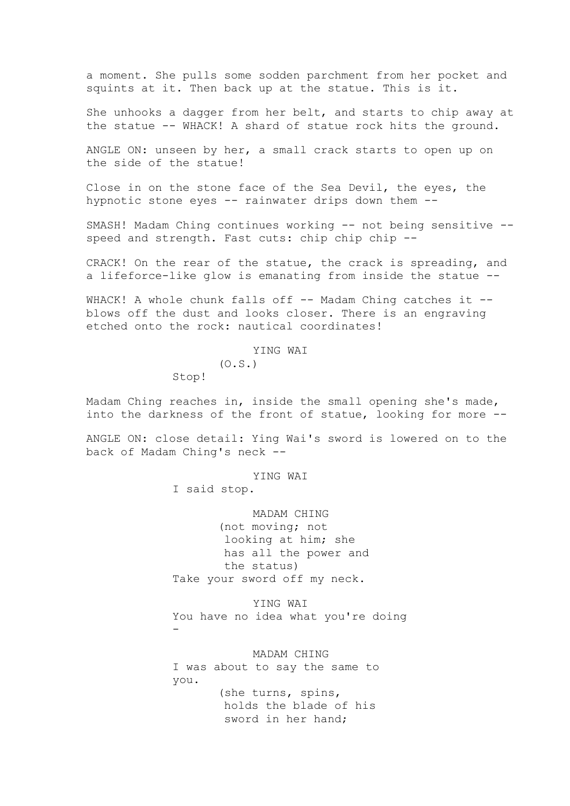a moment. She pulls some sodden parchment from her pocket and squints at it. Then back up at the statue. This is it.

She unhooks a dagger from her belt, and starts to chip away at the statue -- WHACK! A shard of statue rock hits the ground.

ANGLE ON: unseen by her, a small crack starts to open up on the side of the statue!

Close in on the stone face of the Sea Devil, the eyes, the hypnotic stone eyes -- rainwater drips down them --

SMASH! Madam Ching continues working -- not being sensitive - speed and strength. Fast cuts: chip chip chip --

CRACK! On the rear of the statue, the crack is spreading, and a lifeforce-like glow is emanating from inside the statue --

WHACK! A whole chunk falls off -- Madam Ching catches it -blows off the dust and looks closer. There is an engraving etched onto the rock: nautical coordinates!

YING WAI

 $(0.S.)$ 

Stop!

Madam Ching reaches in, inside the small opening she's made, into the darkness of the front of statue, looking for more --

ANGLE ON: close detail: Ying Wai's sword is lowered on to the back of Madam Ching's neck --

YING WAI

I said stop.

MADAM CHING (not moving; not looking at him; she has all the power and the status) Take your sword off my neck.

YING WAI You have no idea what you're doing -

MADAM CHING I was about to say the same to you. (she turns, spins, holds the blade of his sword in her hand;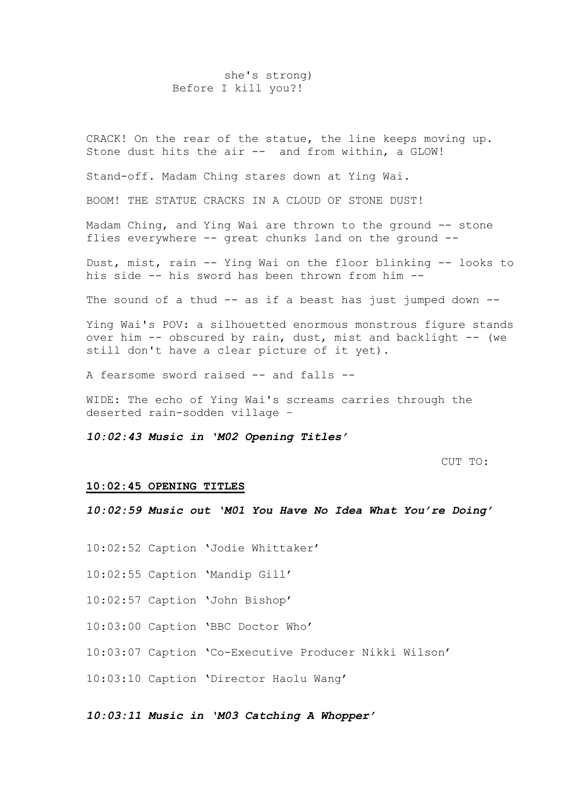### she's strong) Before I kill you?!

CRACK! On the rear of the statue, the line keeps moving up. Stone dust hits the air -- and from within, a GLOW!

Stand-off. Madam Ching stares down at Ying Wai.

BOOM! THE STATUE CRACKS IN A CLOUD OF STONE DUST!

Madam Ching, and Ying Wai are thrown to the ground -- stone flies everywhere -- great chunks land on the ground --

Dust, mist, rain -- Ying Wai on the floor blinking -- looks to his side -- his sword has been thrown from him --

The sound of a thud -- as if a beast has just jumped down --

Ying Wai's POV: a silhouetted enormous monstrous figure stands over him -- obscured by rain, dust, mist and backlight -- (we still don't have a clear picture of it yet).

A fearsome sword raised -- and falls --

WIDE: The echo of Ying Wai's screams carries through the deserted rain-sodden village –

*10:02:43 Music in 'M02 Opening Titles'*

CUT TO:

#### **10:02:45 OPENING TITLES**

*10:02:59 Music out 'M01 You Have No Idea What You're Doing'*

10:02:52 Caption 'Jodie Whittaker'

10:02:55 Caption 'Mandip Gill'

10:02:57 Caption 'John Bishop'

10:03:00 Caption 'BBC Doctor Who'

10:03:07 Caption 'Co-Executive Producer Nikki Wilson'

10:03:10 Caption 'Director Haolu Wang'

### *10:03:11 Music in 'M03 Catching A Whopper'*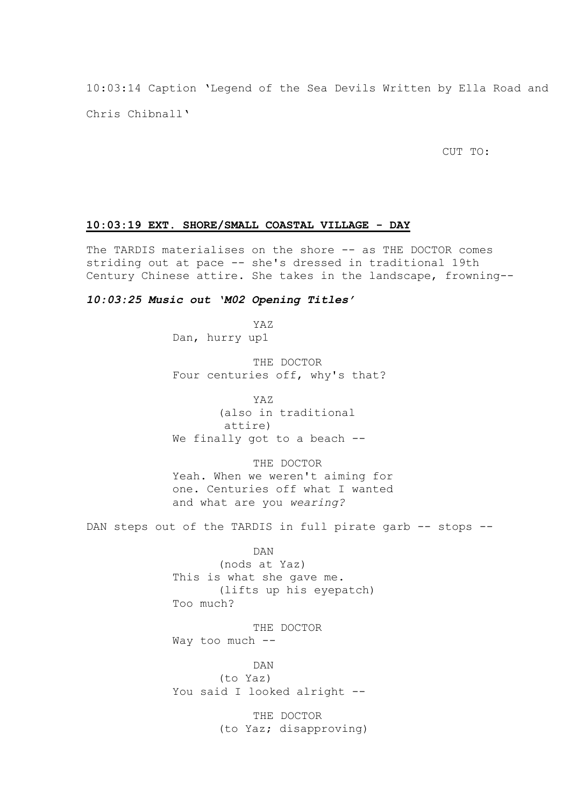10:03:14 Caption 'Legend of the Sea Devils Written by Ella Road and Chris Chibnall'

CUT TO:

### **10:03:19 EXT. SHORE/SMALL COASTAL VILLAGE - DAY**

The TARDIS materialises on the shore -- as THE DOCTOR comes striding out at pace -- she's dressed in traditional 19th Century Chinese attire. She takes in the landscape, frowning--

### *10:03:25 Music out 'M02 Opening Titles'*

YAZ Dan, hurry up1

THE DOCTOR Four centuries off, why's that?

YAZ (also in traditional attire) We finally got to a beach --

THE DOCTOR Yeah. When we weren't aiming for one. Centuries off what I wanted and what are you *wearing?*

DAN steps out of the TARDIS in full pirate garb -- stops --

DAN

(nods at Yaz) This is what she gave me. (lifts up his eyepatch) Too much?

THE DOCTOR Way too much --

DAN (to Yaz) You said I looked alright --

> THE DOCTOR (to Yaz; disapproving)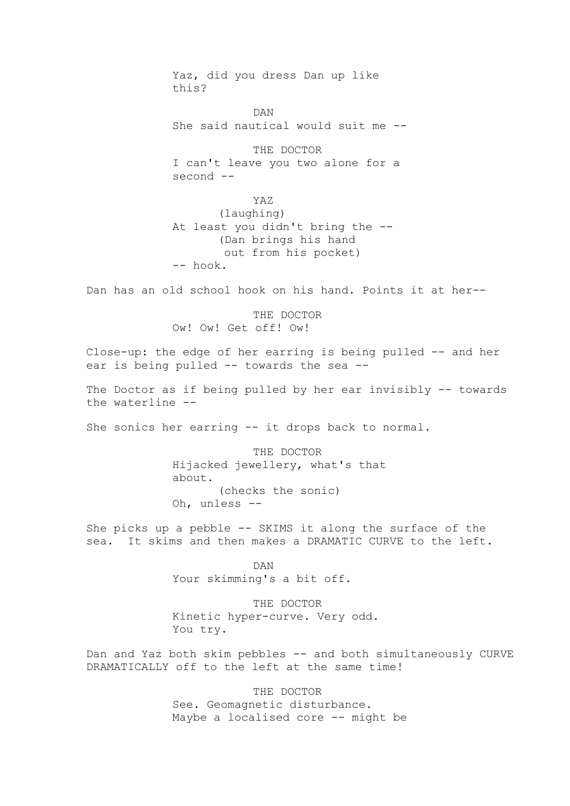Yaz, did you dress Dan up like this?

DAN She said nautical would suit me --

THE DOCTOR I can't leave you two alone for a second --

YAZ (laughing) At least you didn't bring the -- (Dan brings his hand out from his pocket) -- hook.

Dan has an old school hook on his hand. Points it at her--

THE DOCTOR Ow! Ow! Get off! Ow!

Close-up: the edge of her earring is being pulled -- and her ear is being pulled -- towards the sea --

The Doctor as if being pulled by her ear invisibly -- towards the waterline --

She sonics her earring -- it drops back to normal.

THE DOCTOR Hijacked jewellery, what's that about. (checks the sonic) Oh, unless --

She picks up a pebble -- SKIMS it along the surface of the sea. It skims and then makes a DRAMATIC CURVE to the left.

> DAN Your skimming's a bit off.

THE DOCTOR Kinetic hyper-curve. Very odd. You try.

Dan and Yaz both skim pebbles -- and both simultaneously CURVE DRAMATICALLY off to the left at the same time!

> THE DOCTOR See. Geomagnetic disturbance. Maybe a localised core -- might be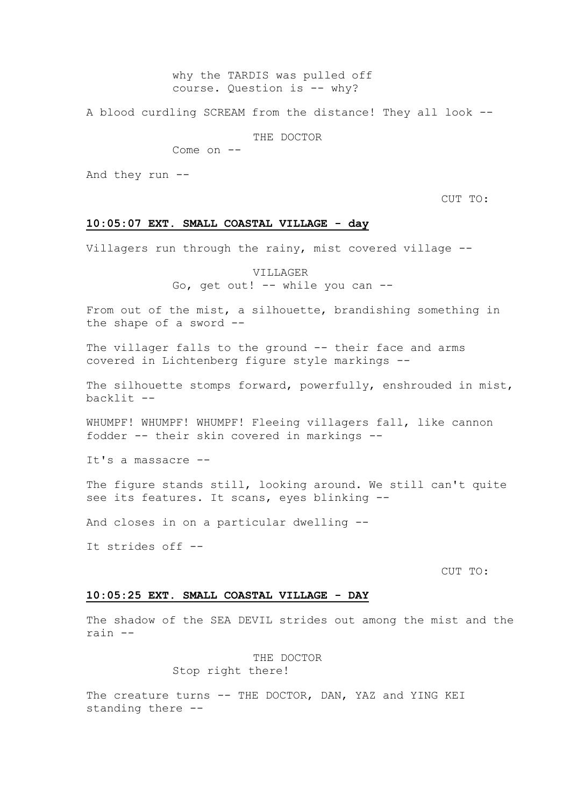## why the TARDIS was pulled off course. Question is -- why?

A blood curdling SCREAM from the distance! They all look --

THE DOCTOR

Come on --

And they run --

CUT TO:

### **10:05:07 EXT. SMALL COASTAL VILLAGE - day**

Villagers run through the rainy, mist covered village --

VILLAGER

Go, get out! -- while you can --

From out of the mist, a silhouette, brandishing something in the shape of a sword --

The villager falls to the ground -- their face and arms covered in Lichtenberg figure style markings --

The silhouette stomps forward, powerfully, enshrouded in mist, backlit --

WHUMPF! WHUMPF! WHUMPF! Fleeing villagers fall, like cannon fodder -- their skin covered in markings --

It's a massacre --

The figure stands still, looking around. We still can't quite see its features. It scans, eyes blinking --

And closes in on a particular dwelling --

It strides off --

CUT TO:

### **10:05:25 EXT. SMALL COASTAL VILLAGE - DAY**

The shadow of the SEA DEVIL strides out among the mist and the rain --

> THE DOCTOR Stop right there!

The creature turns -- THE DOCTOR, DAN, YAZ and YING KEI standing there --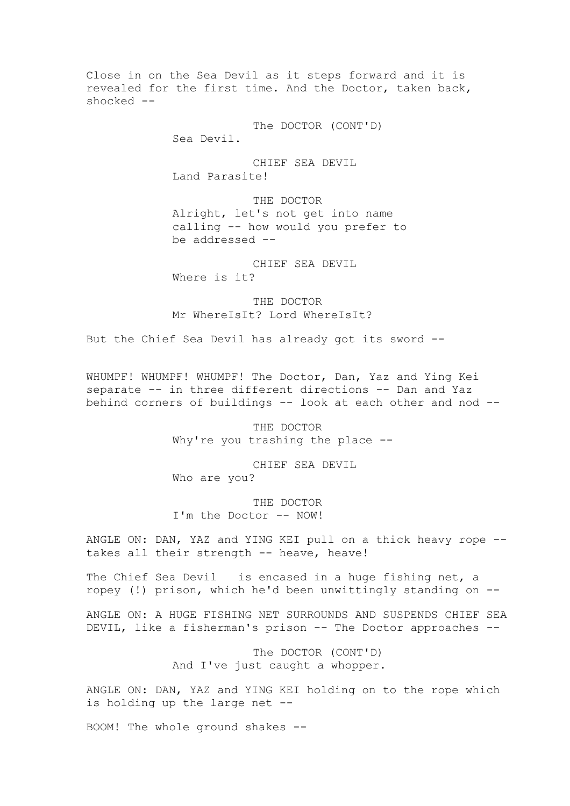Close in on the Sea Devil as it steps forward and it is revealed for the first time. And the Doctor, taken back, shocked --

> The DOCTOR (CONT'D) Sea Devil.

CHIEF SEA DEVIL Land Parasite!

THE DOCTOR Alright, let's not get into name calling -- how would you prefer to be addressed --

CHIEF SEA DEVIL Where is it?

THE DOCTOR Mr WhereIsIt? Lord WhereIsIt?

But the Chief Sea Devil has already got its sword --

WHUMPF! WHUMPF! WHUMPF! The Doctor, Dan, Yaz and Ying Kei separate -- in three different directions -- Dan and Yaz behind corners of buildings -- look at each other and nod --

> THE DOCTOR Why're you trashing the place --

CHIEF SEA DEVIL Who are you?

THE DOCTOR I'm the Doctor -- NOW!

ANGLE ON: DAN, YAZ and YING KEI pull on a thick heavy rope - takes all their strength -- heave, heave!

The Chief Sea Devil is encased in a huge fishing net, a ropey (!) prison, which he'd been unwittingly standing on --

ANGLE ON: A HUGE FISHING NET SURROUNDS AND SUSPENDS CHIEF SEA DEVIL, like a fisherman's prison -- The Doctor approaches --

> The DOCTOR (CONT'D) And I've just caught a whopper.

ANGLE ON: DAN, YAZ and YING KEI holding on to the rope which is holding up the large net --

BOOM! The whole ground shakes --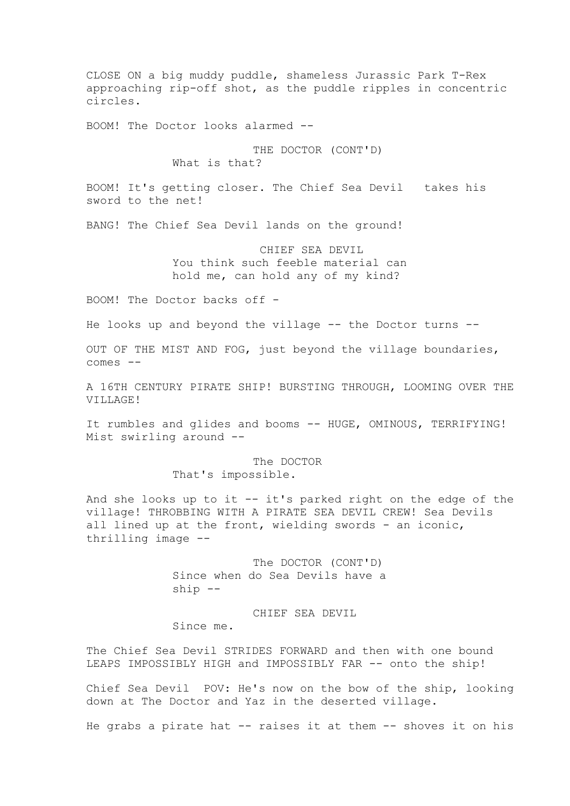CLOSE ON a big muddy puddle, shameless Jurassic Park T-Rex approaching rip-off shot, as the puddle ripples in concentric circles.

BOOM! The Doctor looks alarmed --

THE DOCTOR (CONT'D)

What is that?

BOOM! It's getting closer. The Chief Sea Devil takes his sword to the net!

BANG! The Chief Sea Devil lands on the ground!

CHIEF SEA DEVIL You think such feeble material can hold me, can hold any of my kind?

BOOM! The Doctor backs off -

He looks up and beyond the village -- the Doctor turns --

OUT OF THE MIST AND FOG, just beyond the village boundaries, comes --

A 16TH CENTURY PIRATE SHIP! BURSTING THROUGH, LOOMING OVER THE VILLAGE!

It rumbles and glides and booms -- HUGE, OMINOUS, TERRIFYING! Mist swirling around --

The DOCTOR

That's impossible.

And she looks up to it -- it's parked right on the edge of the village! THROBBING WITH A PIRATE SEA DEVIL CREW! Sea Devils all lined up at the front, wielding swords - an iconic, thrilling image --

> The DOCTOR (CONT'D) Since when do Sea Devils have a ship --

CHIEF SEA DEVIL Since me.

The Chief Sea Devil STRIDES FORWARD and then with one bound LEAPS IMPOSSIBLY HIGH and IMPOSSIBLY FAR -- onto the ship!

Chief Sea Devil POV: He's now on the bow of the ship, looking down at The Doctor and Yaz in the deserted village.

He grabs a pirate hat -- raises it at them -- shoves it on his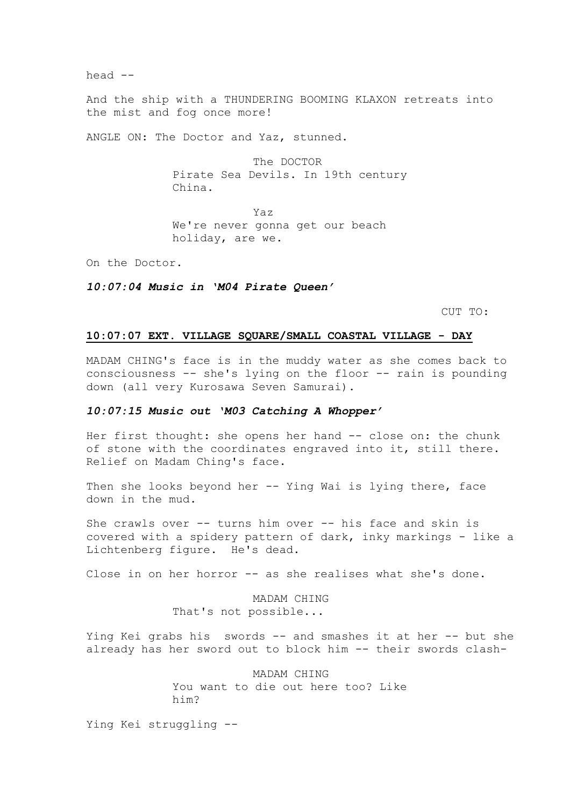head --

And the ship with a THUNDERING BOOMING KLAXON retreats into the mist and fog once more!

ANGLE ON: The Doctor and Yaz, stunned.

The DOCTOR Pirate Sea Devils. In 19th century China.

Yaz We're never gonna get our beach holiday, are we.

On the Doctor.

*10:07:04 Music in 'M04 Pirate Queen'*

CUT TO:

### **10:07:07 EXT. VILLAGE SQUARE/SMALL COASTAL VILLAGE - DAY**

MADAM CHING's face is in the muddy water as she comes back to consciousness -- she's lying on the floor -- rain is pounding down (all very Kurosawa Seven Samurai).

### *10:07:15 Music out 'M03 Catching A Whopper'*

Her first thought: she opens her hand -- close on: the chunk of stone with the coordinates engraved into it, still there. Relief on Madam Ching's face.

Then she looks beyond her -- Ying Wai is lying there, face down in the mud.

She crawls over -- turns him over -- his face and skin is covered with a spidery pattern of dark, inky markings - like a Lichtenberg figure. He's dead.

Close in on her horror -- as she realises what she's done.

MADAM CHING That's not possible...

Ying Kei grabs his swords -- and smashes it at her -- but she already has her sword out to block him -- their swords clash-

> MADAM CHING You want to die out here too? Like him?

Ying Kei struggling --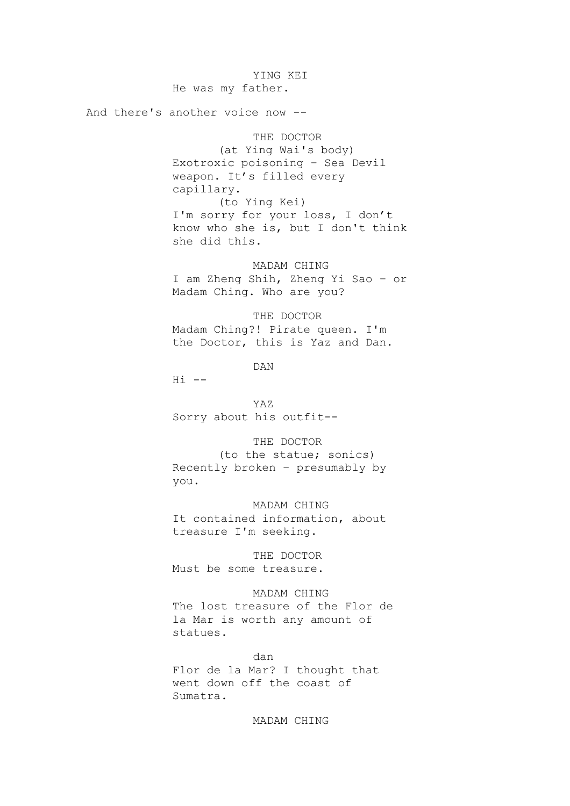YING KEI He was my father.

And there's another voice now --

THE DOCTOR (at Ying Wai's body) Exotroxic poisoning – Sea Devil weapon. It's filled every capillary. (to Ying Kei) I'm sorry for your loss, I don't know who she is, but I don't think she did this.

MADAM CHING I am Zheng Shih, Zheng Yi Sao – or Madam Ching. Who are you?

THE DOCTOR Madam Ching?! Pirate queen. I'm the Doctor, this is Yaz and Dan.

DAN

 $Hi$   $--$ 

YAZ Sorry about his outfit--

THE DOCTOR

(to the statue; sonics) Recently broken – presumably by you.

MADAM CHING It contained information, about treasure I'm seeking.

THE DOCTOR Must be some treasure.

MADAM CHING The lost treasure of the Flor de la Mar is worth any amount of statues.

dan Flor de la Mar? I thought that went down off the coast of Sumatra.

MADAM CHING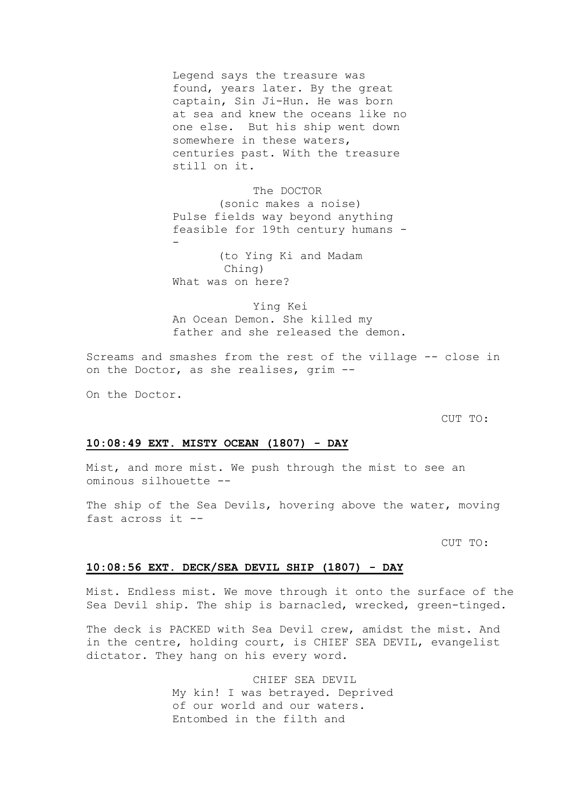Legend says the treasure was found, years later. By the great captain, Sin Ji-Hun. He was born at sea and knew the oceans like no one else. But his ship went down somewhere in these waters, centuries past. With the treasure still on it.

The DOCTOR (sonic makes a noise) Pulse fields way beyond anything feasible for 19th century humans -

(to Ying Ki and Madam Ching) What was on here?

Ying Kei An Ocean Demon. She killed my father and she released the demon.

Screams and smashes from the rest of the village -- close in on the Doctor, as she realises, grim --

On the Doctor.

-

CUT TO:

#### **10:08:49 EXT. MISTY OCEAN (1807) - DAY**

Mist, and more mist. We push through the mist to see an ominous silhouette --

The ship of the Sea Devils, hovering above the water, moving fast across it --

CUT TO:

### **10:08:56 EXT. DECK/SEA DEVIL SHIP (1807) - DAY**

Mist. Endless mist. We move through it onto the surface of the Sea Devil ship. The ship is barnacled, wrecked, green-tinged.

The deck is PACKED with Sea Devil crew, amidst the mist. And in the centre, holding court, is CHIEF SEA DEVIL, evangelist dictator. They hang on his every word.

> CHIEF SEA DEVIL My kin! I was betrayed. Deprived of our world and our waters. Entombed in the filth and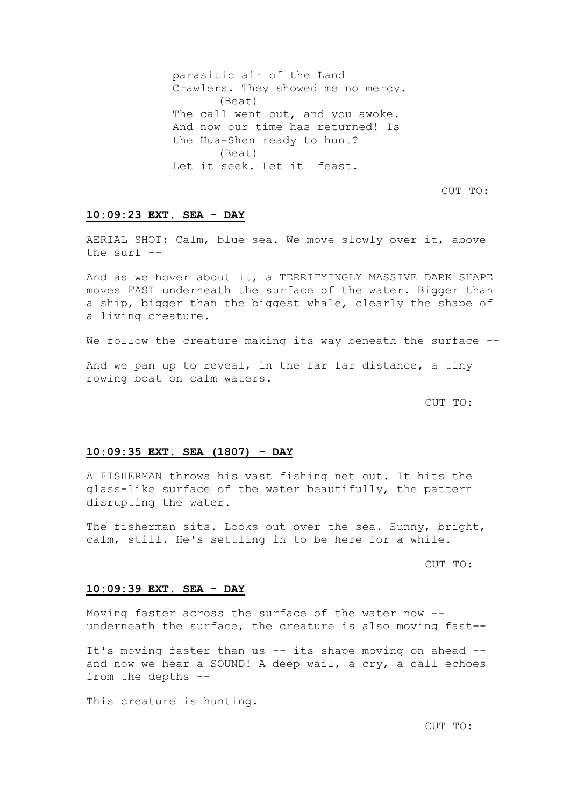parasitic air of the Land Crawlers. They showed me no mercy. (Beat) The call went out, and you awoke. And now our time has returned! Is the Hua-Shen ready to hunt? (Beat) Let it seek. Let it feast.

CUT TO:

### **10:09:23 EXT. SEA - DAY**

AERIAL SHOT: Calm, blue sea. We move slowly over it, above the surf --

And as we hover about it, a TERRIFYINGLY MASSIVE DARK SHAPE moves FAST underneath the surface of the water. Bigger than a ship, bigger than the biggest whale, clearly the shape of a living creature.

We follow the creature making its way beneath the surface --

And we pan up to reveal, in the far far distance, a tiny rowing boat on calm waters.

CUT TO:

#### **10:09:35 EXT. SEA (1807) - DAY**

A FISHERMAN throws his vast fishing net out. It hits the glass-like surface of the water beautifully, the pattern disrupting the water.

The fisherman sits. Looks out over the sea. Sunny, bright, calm, still. He's settling in to be here for a while.

CUT TO:

#### **10:09:39 EXT. SEA - DAY**

Moving faster across the surface of the water now - underneath the surface, the creature is also moving fast--

It's moving faster than us -- its shape moving on ahead - and now we hear a SOUND! A deep wail, a cry, a call echoes from the depths --

This creature is hunting.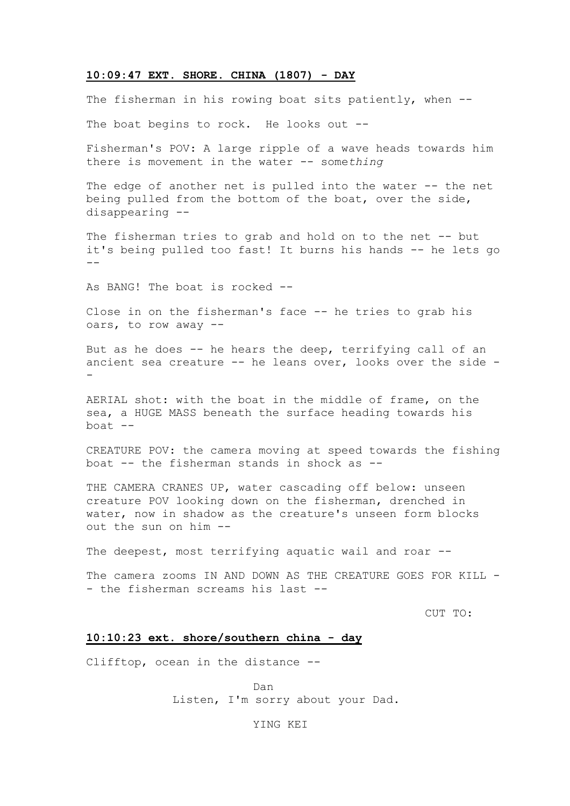#### **10:09:47 EXT. SHORE. CHINA (1807) - DAY**

The fisherman in his rowing boat sits patiently, when --

The boat begins to rock. He looks out --

Fisherman's POV: A large ripple of a wave heads towards him there is movement in the water -- some*thing*

The edge of another net is pulled into the water -- the net being pulled from the bottom of the boat, over the side, disappearing --

The fisherman tries to grab and hold on to the net -- but it's being pulled too fast! It burns his hands -- he lets go --

As BANG! The boat is rocked --

Close in on the fisherman's face -- he tries to grab his oars, to row away --

But as he does -- he hears the deep, terrifying call of an ancient sea creature -- he leans over, looks over the side - -

AERIAL shot: with the boat in the middle of frame, on the sea, a HUGE MASS beneath the surface heading towards his boat  $--$ 

CREATURE POV: the camera moving at speed towards the fishing boat -- the fisherman stands in shock as --

THE CAMERA CRANES UP, water cascading off below: unseen creature POV looking down on the fisherman, drenched in water, now in shadow as the creature's unseen form blocks out the sun on him --

The deepest, most terrifying aquatic wail and roar --

The camera zooms IN AND DOWN AS THE CREATURE GOES FOR KILL -- the fisherman screams his last --

CUT TO:

### **10:10:23 ext. shore/southern china - day**

Clifftop, ocean in the distance --

Dan Listen, I'm sorry about your Dad.

YING KEI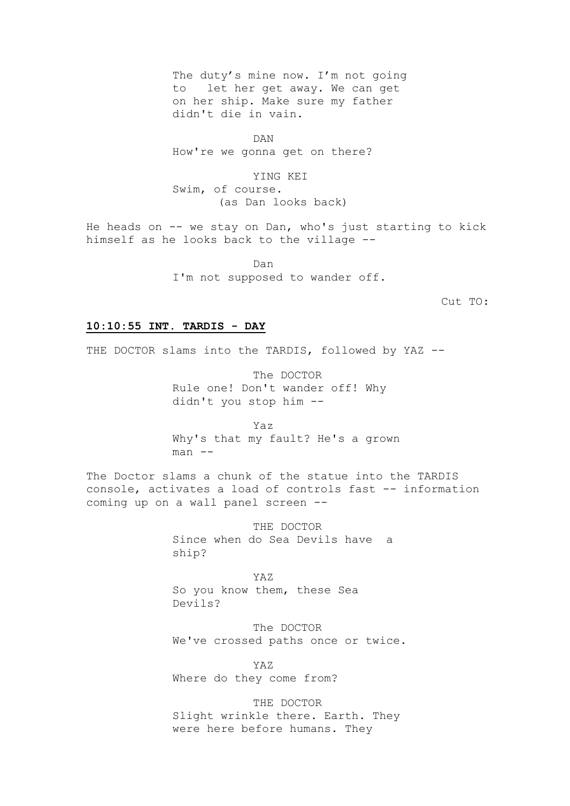The duty's mine now. I'm not going to let her get away. We can get on her ship. Make sure my father didn't die in vain.

DAN How're we gonna get on there?

YING KEI Swim, of course. (as Dan looks back)

He heads on -- we stay on Dan, who's just starting to kick himself as he looks back to the village --

> Dan I'm not supposed to wander off.

> > Cut TO:

### **10:10:55 INT. TARDIS - DAY**

THE DOCTOR slams into the TARDIS, followed by YAZ --

The DOCTOR Rule one! Don't wander off! Why didn't you stop him --

Yaz Why's that my fault? He's a grown man --

The Doctor slams a chunk of the statue into the TARDIS console, activates a load of controls fast -- information coming up on a wall panel screen --

> THE DOCTOR Since when do Sea Devils have a ship?

YAZ So you know them, these Sea Devils?

The DOCTOR We've crossed paths once or twice.

YAZ Where do they come from?

THE DOCTOR Slight wrinkle there. Earth. They were here before humans. They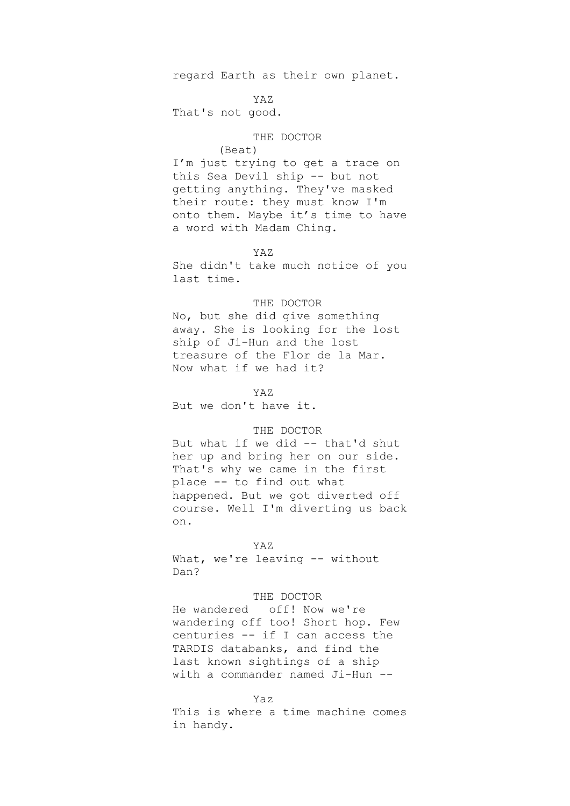regard Earth as their own planet.

### YAZ

That's not good.

### THE DOCTOR

### (Beat)

I'm just trying to get a trace on this Sea Devil ship -- but not getting anything. They've masked their route: they must know I'm onto them. Maybe it's time to have a word with Madam Ching.

#### YAZ

She didn't take much notice of you last time.

### THE DOCTOR

No, but she did give something away. She is looking for the lost ship of Ji-Hun and the lost treasure of the Flor de la Mar. Now what if we had it?

YAZ

But we don't have it.

### THE DOCTOR

But what if we did -- that'd shut her up and bring her on our side. That's why we came in the first place -- to find out what happened. But we got diverted off course. Well I'm diverting us back on.

#### YAZ

What, we're leaving -- without Dan?

### THE DOCTOR

He wandered off! Now we're wandering off too! Short hop. Few centuries -- if I can access the TARDIS databanks, and find the last known sightings of a ship with a commander named Ji-Hun --

### Yaz

This is where a time machine comes in handy.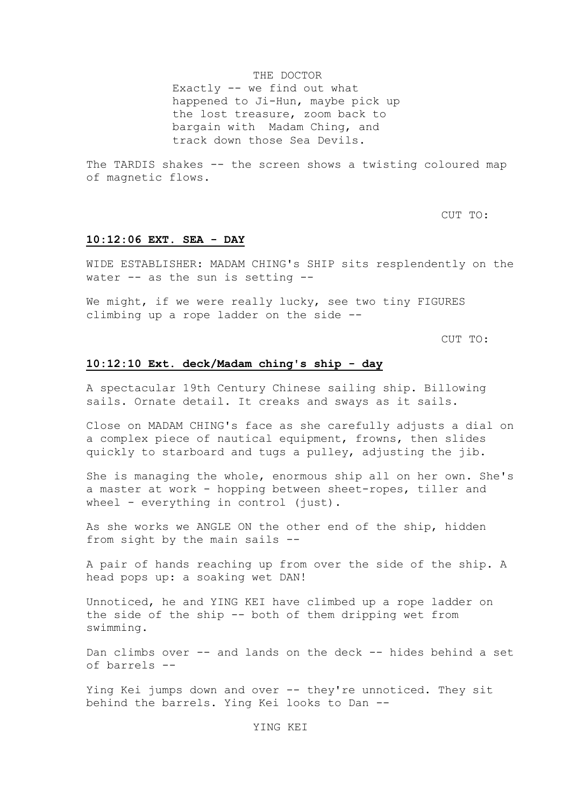#### THE DOCTOR

Exactly -- we find out what happened to Ji-Hun, maybe pick up the lost treasure, zoom back to bargain with Madam Ching, and track down those Sea Devils.

The TARDIS shakes -- the screen shows a twisting coloured map of magnetic flows.

CUT TO:

#### **10:12:06 EXT. SEA - DAY**

WIDE ESTABLISHER: MADAM CHING's SHIP sits resplendently on the water -- as the sun is setting --

We might, if we were really lucky, see two tiny FIGURES climbing up a rope ladder on the side --

CUT TO:

### **10:12:10 Ext. deck/Madam ching's ship - day**

A spectacular 19th Century Chinese sailing ship. Billowing sails. Ornate detail. It creaks and sways as it sails.

Close on MADAM CHING's face as she carefully adjusts a dial on a complex piece of nautical equipment, frowns, then slides quickly to starboard and tugs a pulley, adjusting the jib.

She is managing the whole, enormous ship all on her own. She's a master at work - hopping between sheet-ropes, tiller and wheel - everything in control (just).

As she works we ANGLE ON the other end of the ship, hidden from sight by the main sails --

A pair of hands reaching up from over the side of the ship. A head pops up: a soaking wet DAN!

Unnoticed, he and YING KEI have climbed up a rope ladder on the side of the ship -- both of them dripping wet from swimming.

Dan climbs over -- and lands on the deck -- hides behind a set of barrels --

Ying Kei jumps down and over -- they're unnoticed. They sit behind the barrels. Ying Kei looks to Dan --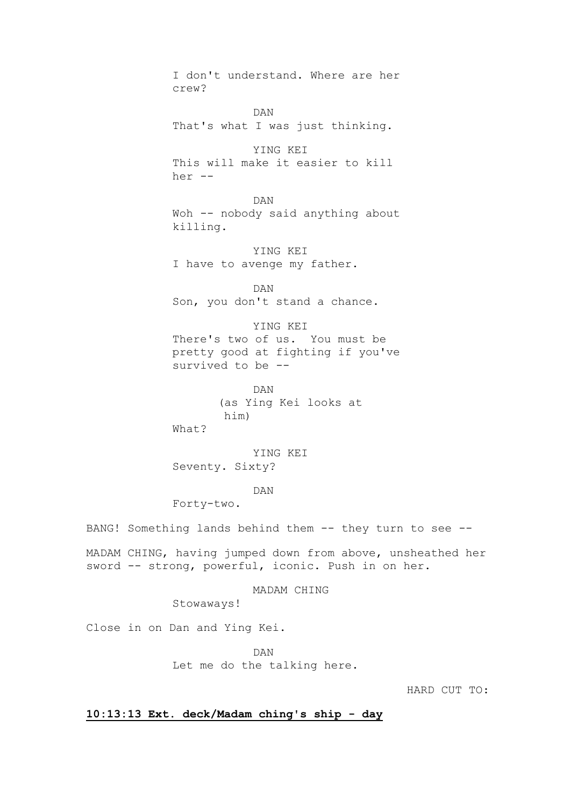I don't understand. Where are her crew? DAN That's what I was just thinking. YING KEI This will make it easier to kill her -- DAN Woh -- nobody said anything about killing. YING KEI I have to avenge my father. DAN Son, you don't stand a chance. YING KEI There's two of us. You must be pretty good at fighting if you've survived to be -- DAN (as Ying Kei looks at him) What? YING KEI Seventy. Sixty?

DAN

Forty-two.

BANG! Something lands behind them -- they turn to see --

MADAM CHING, having jumped down from above, unsheathed her sword -- strong, powerful, iconic. Push in on her.

MADAM CHING

Stowaways!

Close in on Dan and Ying Kei.

DAN Let me do the talking here.

HARD CUT TO:

**10:13:13 Ext. deck/Madam ching's ship - day**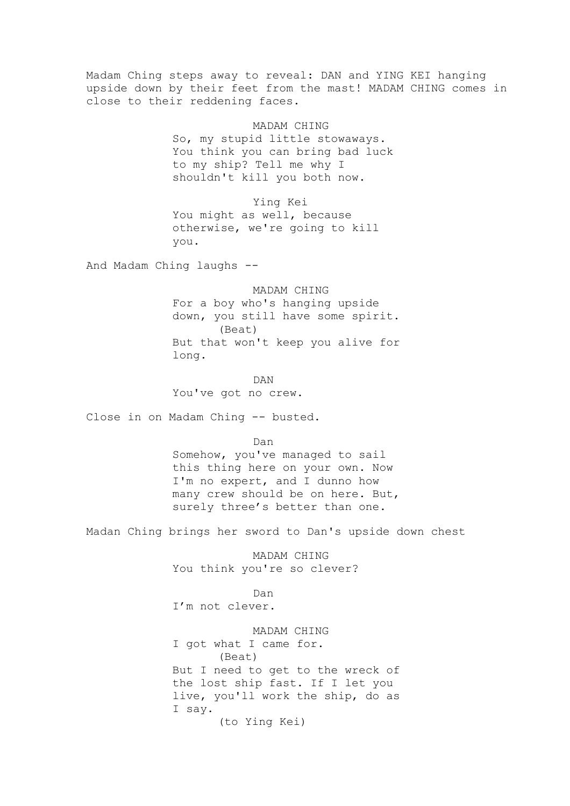Madam Ching steps away to reveal: DAN and YING KEI hanging upside down by their feet from the mast! MADAM CHING comes in close to their reddening faces.

> MADAM CHING So, my stupid little stowaways. You think you can bring bad luck to my ship? Tell me why I shouldn't kill you both now.

Ying Kei You might as well, because otherwise, we're going to kill you.

And Madam Ching laughs --

MADAM CHING For a boy who's hanging upside down, you still have some spirit. (Beat) But that won't keep you alive for long.

DAN You've got no crew.

Close in on Madam Ching -- busted.

Dan Somehow, you've managed to sail this thing here on your own. Now I'm no expert, and I dunno how many crew should be on here. But, surely three's better than one.

Madan Ching brings her sword to Dan's upside down chest

MADAM CHING You think you're so clever?

Dan

I'm not clever.

MADAM CHING I got what I came for. (Beat) But I need to get to the wreck of the lost ship fast. If I let you live, you'll work the ship, do as I say. (to Ying Kei)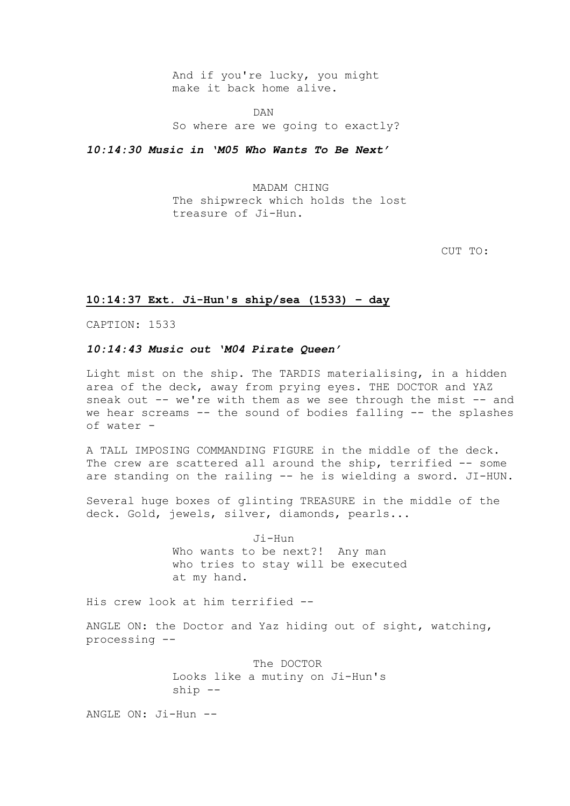And if you're lucky, you might make it back home alive.

DAN So where are we going to exactly?

*10:14:30 Music in 'M05 Who Wants To Be Next'*

MADAM CHING The shipwreck which holds the lost treasure of Ji-Hun.

CUT TO:

### **10:14:37 Ext. Ji-Hun's ship/sea (1533) – day**

CAPTION: 1533

### *10:14:43 Music out 'M04 Pirate Queen'*

Light mist on the ship. The TARDIS materialising, in a hidden area of the deck, away from prying eyes. THE DOCTOR and YAZ sneak out  $--$  we're with them as we see through the mist  $--$  and we hear screams -- the sound of bodies falling -- the splashes of water -

A TALL IMPOSING COMMANDING FIGURE in the middle of the deck. The crew are scattered all around the ship, terrified -- some are standing on the railing -- he is wielding a sword. JI-HUN.

Several huge boxes of glinting TREASURE in the middle of the deck. Gold, jewels, silver, diamonds, pearls...

> Ji-Hun Who wants to be next?! Any man who tries to stay will be executed at my hand.

His crew look at him terrified --

ANGLE ON: the Doctor and Yaz hiding out of sight, watching, processing --

> The DOCTOR Looks like a mutiny on Ji-Hun's ship --

ANGLE ON: Ji-Hun --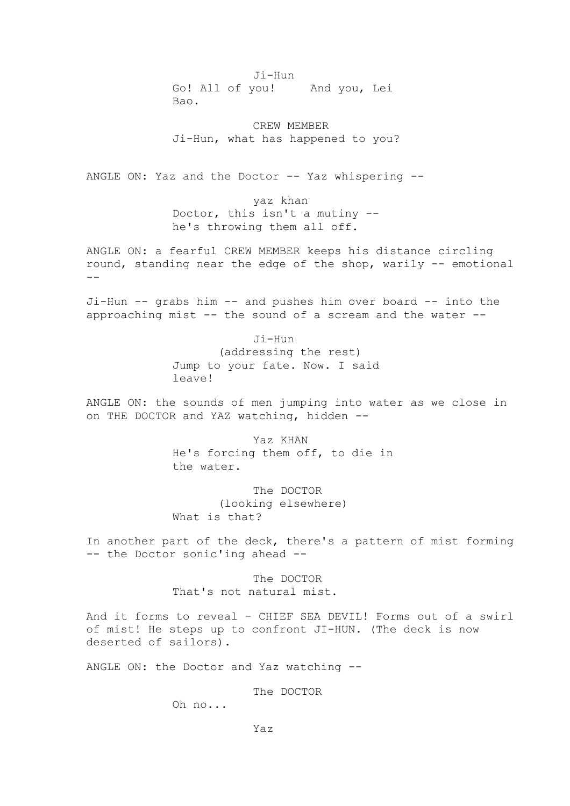Ji-Hun Go! All of you! And you, Lei Bao.

CREW MEMBER Ji-Hun, what has happened to you?

ANGLE ON: Yaz and the Doctor -- Yaz whispering --

yaz khan Doctor, this isn't a mutiny - he's throwing them all off.

ANGLE ON: a fearful CREW MEMBER keeps his distance circling round, standing near the edge of the shop, warily -- emotional  $- -$ 

Ji-Hun -- grabs him -- and pushes him over board -- into the approaching mist -- the sound of a scream and the water --

> Ji-Hun (addressing the rest) Jump to your fate. Now. I said leave!

ANGLE ON: the sounds of men jumping into water as we close in on THE DOCTOR and YAZ watching, hidden --

> Yaz KHAN He's forcing them off, to die in the water.

The DOCTOR (looking elsewhere) What is that?

In another part of the deck, there's a pattern of mist forming -- the Doctor sonic'ing ahead --

> The DOCTOR That's not natural mist.

And it forms to reveal – CHIEF SEA DEVIL! Forms out of a swirl of mist! He steps up to confront JI-HUN. (The deck is now deserted of sailors).

ANGLE ON: the Doctor and Yaz watching --

The DOCTOR

Oh no...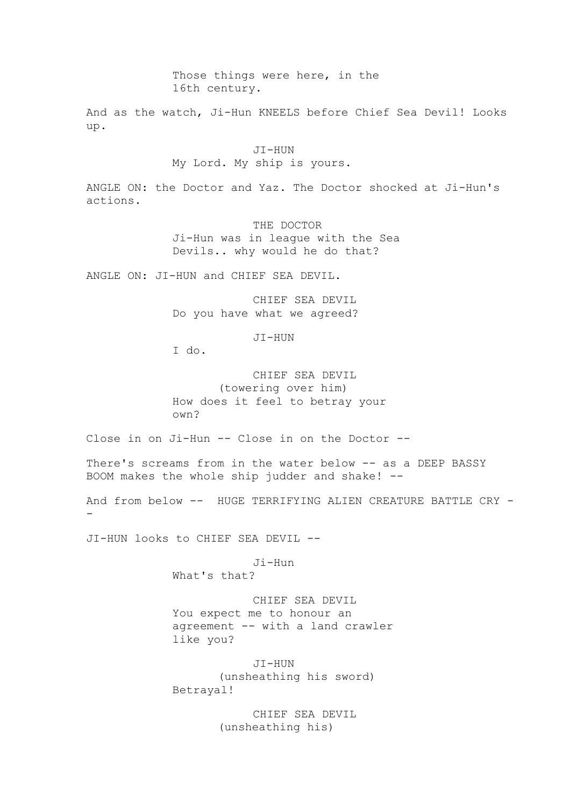Those things were here, in the 16th century.

And as the watch, Ji-Hun KNEELS before Chief Sea Devil! Looks up.

> JI-HUN My Lord. My ship is yours.

ANGLE ON: the Doctor and Yaz. The Doctor shocked at Ji-Hun's actions.

> THE DOCTOR Ji-Hun was in league with the Sea Devils.. why would he do that?

ANGLE ON: JI-HUN and CHIEF SEA DEVIL.

CHIEF SEA DEVIL Do you have what we agreed?

JI-HUN

I do.

CHIEF SEA DEVIL (towering over him) How does it feel to betray your own?

Close in on Ji-Hun -- Close in on the Doctor --

There's screams from in the water below -- as a DEEP BASSY BOOM makes the whole ship judder and shake! --

And from below -- HUGE TERRIFYING ALIEN CREATURE BATTLE CRY --

JI-HUN looks to CHIEF SEA DEVIL --

Ji-Hun

What's that?

CHIEF SEA DEVIL You expect me to honour an agreement -- with a land crawler like you?

JI-HUN (unsheathing his sword) Betrayal!

> CHIEF SEA DEVIL (unsheathing his)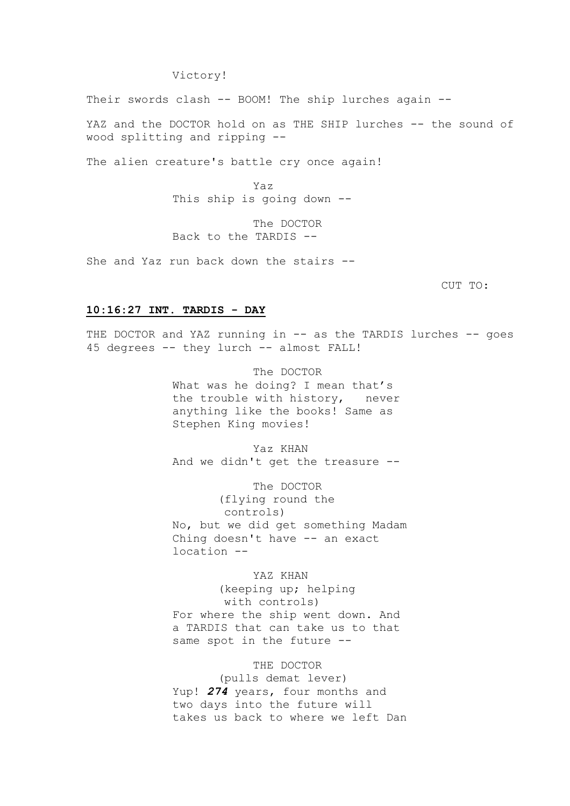### Victory!

Their swords clash -- BOOM! The ship lurches again --

YAZ and the DOCTOR hold on as THE SHIP lurches -- the sound of wood splitting and ripping --

The alien creature's battle cry once again!

Yaz This ship is going down --

The DOCTOR Back to the TARDIS --

She and Yaz run back down the stairs --

CUT TO:

### **10:16:27 INT. TARDIS - DAY**

THE DOCTOR and YAZ running in -- as the TARDIS lurches -- goes 45 degrees -- they lurch -- almost FALL!

> The DOCTOR What was he doing? I mean that's the trouble with history, never anything like the books! Same as Stephen King movies!

> Yaz KHAN And we didn't get the treasure --

The DOCTOR (flying round the controls) No, but we did get something Madam Ching doesn't have -- an exact location --

YAZ KHAN (keeping up; helping with controls) For where the ship went down. And a TARDIS that can take us to that same spot in the future --

THE DOCTOR (pulls demat lever) Yup! *274* years, four months and two days into the future will takes us back to where we left Dan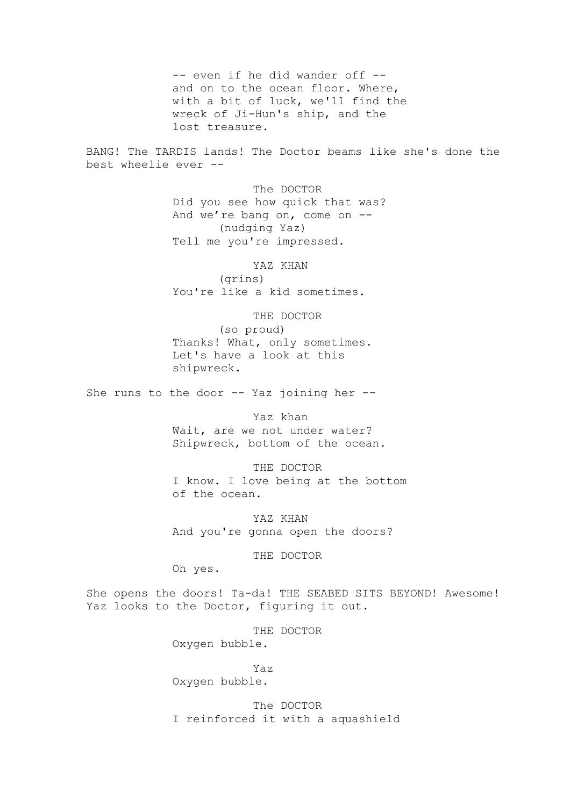-- even if he did wander off -and on to the ocean floor. Where, with a bit of luck, we'll find the wreck of Ji-Hun's ship, and the lost treasure.

BANG! The TARDIS lands! The Doctor beams like she's done the best wheelie ever --

> The DOCTOR Did you see how quick that was? And we're bang on, come on -- (nudging Yaz) Tell me you're impressed.

YAZ KHAN (grins) You're like a kid sometimes.

THE DOCTOR

(so proud) Thanks! What, only sometimes. Let's have a look at this shipwreck.

She runs to the door -- Yaz joining her --

Yaz khan Wait, are we not under water? Shipwreck, bottom of the ocean.

THE DOCTOR I know. I love being at the bottom of the ocean.

YAZ KHAN And you're gonna open the doors?

### THE DOCTOR

Oh yes.

She opens the doors! Ta-da! THE SEABED SITS BEYOND! Awesome! Yaz looks to the Doctor, figuring it out.

> THE DOCTOR Oxygen bubble.

Yaz Oxygen bubble.

The DOCTOR I reinforced it with a aquashield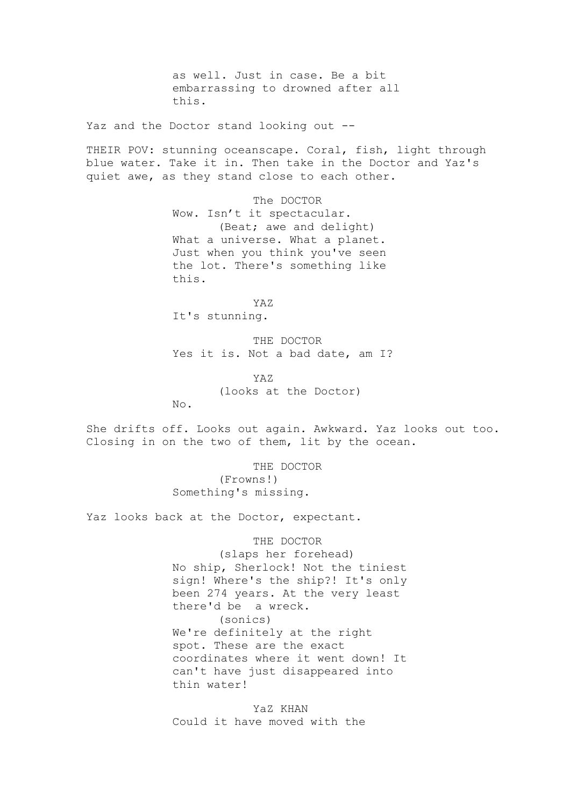as well. Just in case. Be a bit embarrassing to drowned after all this.

Yaz and the Doctor stand looking out --

THEIR POV: stunning oceanscape. Coral, fish, light through blue water. Take it in. Then take in the Doctor and Yaz's quiet awe, as they stand close to each other.

> The DOCTOR Wow. Isn't it spectacular. (Beat; awe and delight) What a universe. What a planet. Just when you think you've seen the lot. There's something like this.

YAZ It's stunning.

No.

THE DOCTOR Yes it is. Not a bad date, am I?

YAZ (looks at the Doctor)

She drifts off. Looks out again. Awkward. Yaz looks out too. Closing in on the two of them, lit by the ocean.

> THE DOCTOR (Frowns!) Something's missing.

Yaz looks back at the Doctor, expectant.

THE DOCTOR

(slaps her forehead) No ship, Sherlock! Not the tiniest sign! Where's the ship?! It's only been 274 years. At the very least there'd be a wreck. (sonics) We're definitely at the right spot. These are the exact coordinates where it went down! It can't have just disappeared into thin water!

YaZ KHAN Could it have moved with the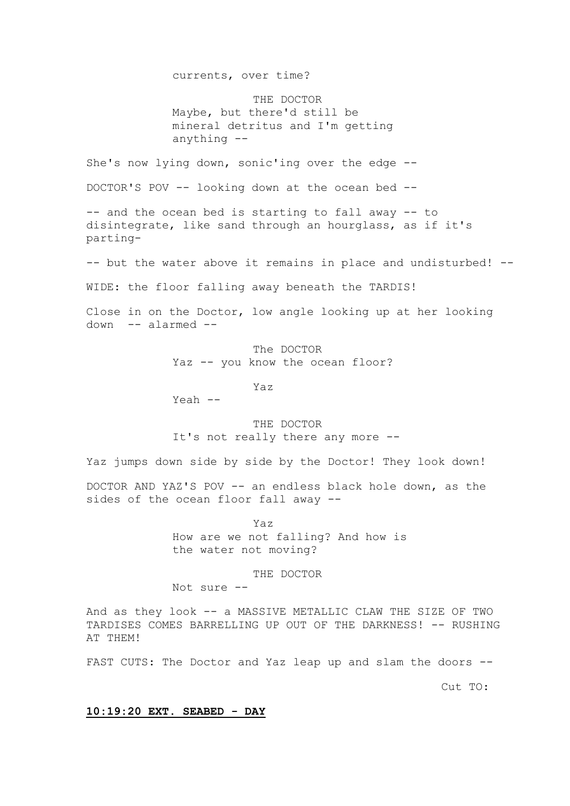currents, over time?

THE DOCTOR Maybe, but there'd still be mineral detritus and I'm getting anything --

She's now lying down, sonic'ing over the edge --

DOCTOR'S POV -- looking down at the ocean bed --

-- and the ocean bed is starting to fall away -- to disintegrate, like sand through an hourglass, as if it's parting-

-- but the water above it remains in place and undisturbed! --

WIDE: the floor falling away beneath the TARDIS!

Close in on the Doctor, low angle looking up at her looking down -- alarmed --

> The DOCTOR Yaz -- you know the ocean floor?

> > Yaz

Yeah --

THE DOCTOR It's not really there any more --

Yaz jumps down side by side by the Doctor! They look down!

DOCTOR AND YAZ'S POV -- an endless black hole down, as the sides of the ocean floor fall away --

> Yaz How are we not falling? And how is the water not moving?

> > THE DOCTOR

Not sure --

And as they look -- a MASSIVE METALLIC CLAW THE SIZE OF TWO TARDISES COMES BARRELLING UP OUT OF THE DARKNESS! -- RUSHING AT THEM!

FAST CUTS: The Doctor and Yaz leap up and slam the doors --

Cut TO:

### **10:19:20 EXT. SEABED - DAY**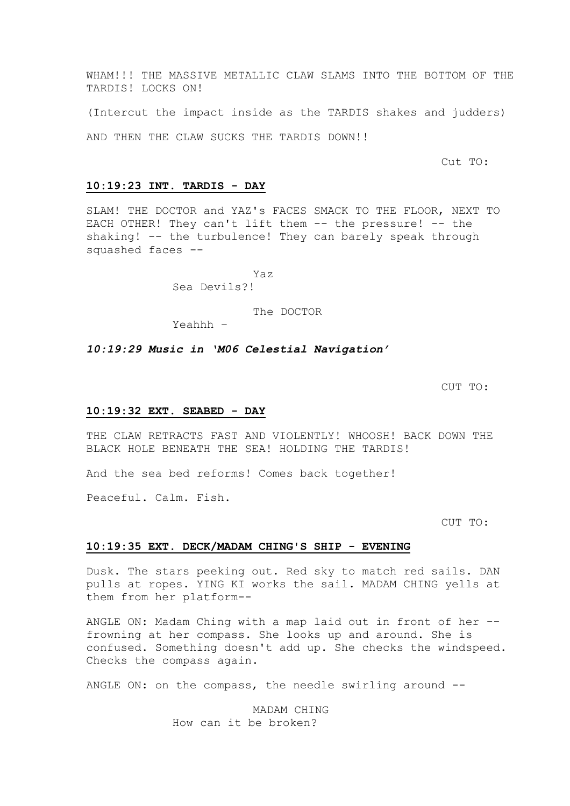WHAM!!! THE MASSIVE METALLIC CLAW SLAMS INTO THE BOTTOM OF THE TARDIS! LOCKS ON!

(Intercut the impact inside as the TARDIS shakes and judders)

AND THEN THE CLAW SUCKS THE TARDIS DOWN!!

Cut TO:

#### **10:19:23 INT. TARDIS - DAY**

SLAM! THE DOCTOR and YAZ's FACES SMACK TO THE FLOOR, NEXT TO EACH OTHER! They can't lift them -- the pressure! -- the shaking! -- the turbulence! They can barely speak through squashed faces --

> Yaz Sea Devils?!

> > The DOCTOR

Yeahhh –

*10:19:29 Music in 'M06 Celestial Navigation'*

CUT TO:

#### **10:19:32 EXT. SEABED - DAY**

THE CLAW RETRACTS FAST AND VIOLENTLY! WHOOSH! BACK DOWN THE BLACK HOLE BENEATH THE SEA! HOLDING THE TARDIS!

And the sea bed reforms! Comes back together!

Peaceful. Calm. Fish.

CUT TO:

### **10:19:35 EXT. DECK/MADAM CHING'S SHIP - EVENING**

Dusk. The stars peeking out. Red sky to match red sails. DAN pulls at ropes. YING KI works the sail. MADAM CHING yells at them from her platform--

ANGLE ON: Madam Ching with a map laid out in front of her - frowning at her compass. She looks up and around. She is confused. Something doesn't add up. She checks the windspeed. Checks the compass again.

ANGLE ON: on the compass, the needle swirling around --

MADAM CHING How can it be broken?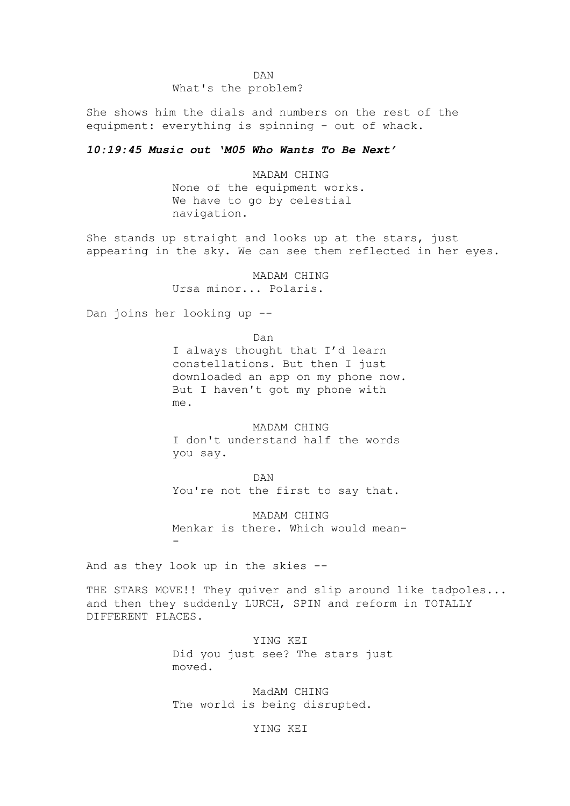DAN What's the problem?

She shows him the dials and numbers on the rest of the equipment: everything is spinning - out of whack.

### *10:19:45 Music out 'M05 Who Wants To Be Next'*

MADAM CHING None of the equipment works. We have to go by celestial navigation.

She stands up straight and looks up at the stars, just appearing in the sky. We can see them reflected in her eyes.

> MADAM CHING Ursa minor... Polaris.

Dan joins her looking up --

me.

Dan I always thought that I'd learn constellations. But then I just downloaded an app on my phone now. But I haven't got my phone with

MADAM CHING I don't understand half the words you say.

DAN You're not the first to say that.

MADAM CHING Menkar is there. Which would mean- -

And as they look up in the skies --

THE STARS MOVE!! They quiver and slip around like tadpoles... and then they suddenly LURCH, SPIN and reform in TOTALLY DIFFERENT PLACES.

> YING KEI Did you just see? The stars just moved.

MadAM CHING The world is being disrupted.

YING KEI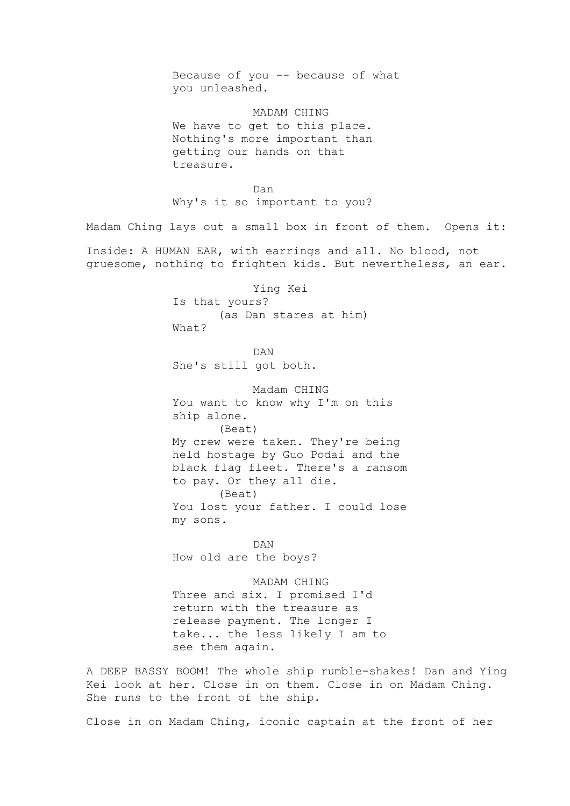Because of you -- because of what you unleashed. MADAM CHING We have to get to this place. Nothing's more important than getting our hands on that treasure. Dan Why's it so important to you? Madam Ching lays out a small box in front of them. Opens it: Inside: A HUMAN EAR, with earrings and all. No blood, not gruesome, nothing to frighten kids. But nevertheless, an ear. Ying Kei Is that yours? (as Dan stares at him) What? DAN She's still got both. Madam CHING You want to know why I'm on this ship alone. (Beat) My crew were taken. They're being held hostage by Guo Podai and the black flag fleet. There's a ransom to pay. Or they all die. (Beat) You lost your father. I could lose my sons. DAN How old are the boys? MADAM CHING Three and six. I promised I'd return with the treasure as release payment. The longer I take... the less likely I am to see them again. A DEEP BASSY BOOM! The whole ship rumble-shakes! Dan and Ying Kei look at her. Close in on them. Close in on Madam Ching. She runs to the front of the ship.

Close in on Madam Ching, iconic captain at the front of her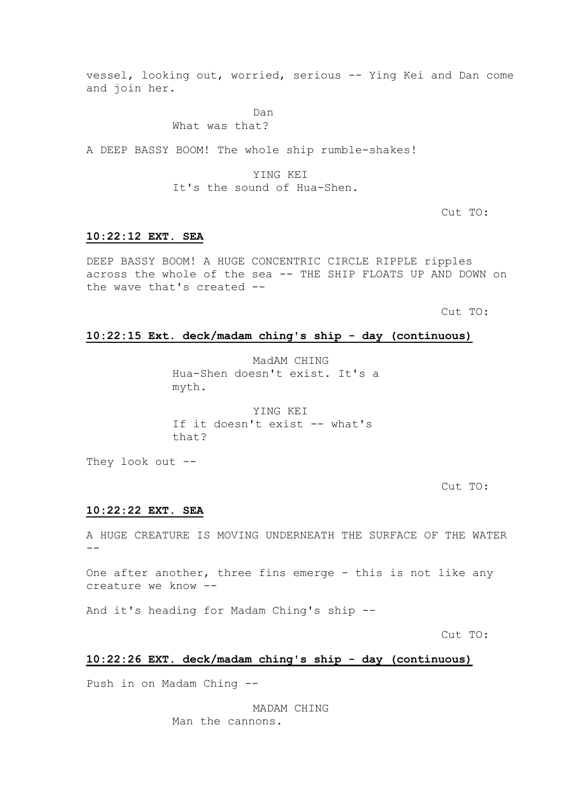vessel, looking out, worried, serious -- Ying Kei and Dan come and join her.

Dan

### What was that?

A DEEP BASSY BOOM! The whole ship rumble-shakes!

YING KEI It's the sound of Hua-Shen.

Cut TO:

### **10:22:12 EXT. SEA**

DEEP BASSY BOOM! A HUGE CONCENTRIC CIRCLE RIPPLE ripples across the whole of the sea -- THE SHIP FLOATS UP AND DOWN on the wave that's created --

Cut TO:

### **10:22:15 Ext. deck/madam ching's ship - day (continuous)**

MadAM CHING Hua-Shen doesn't exist. It's a myth.

YING KEI If it doesn't exist -- what's that?

They look out --

Cut TO:

### **10:22:22 EXT. SEA**

A HUGE CREATURE IS MOVING UNDERNEATH THE SURFACE OF THE WATER --

One after another, three fins emerge - this is not like any creature we know --

And it's heading for Madam Ching's ship --

Cut TO:

### **10:22:26 EXT. deck/madam ching's ship - day (continuous)**

Push in on Madam Ching --

MADAM CHING Man the cannons.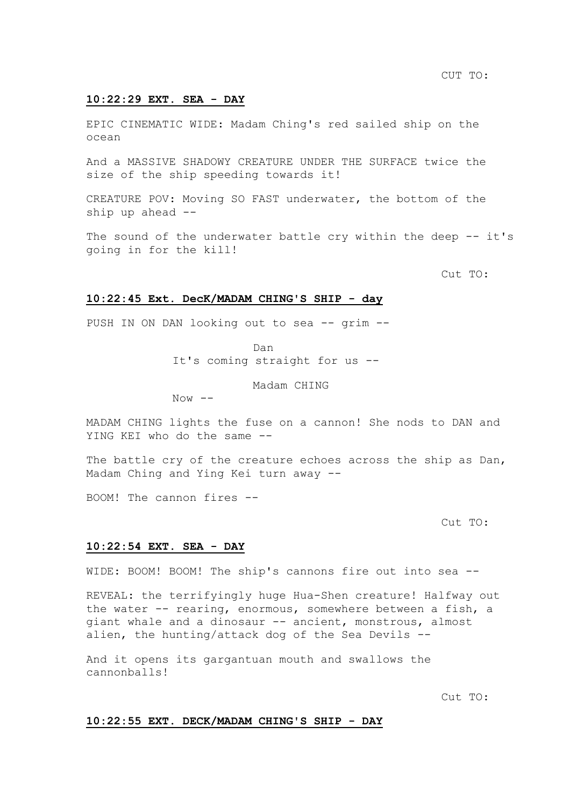### **10:22:29 EXT. SEA - DAY**

EPIC CINEMATIC WIDE: Madam Ching's red sailed ship on the ocean

And a MASSIVE SHADOWY CREATURE UNDER THE SURFACE twice the size of the ship speeding towards it!

CREATURE POV: Moving SO FAST underwater, the bottom of the ship up ahead --

The sound of the underwater battle cry within the deep -- it's going in for the kill!

Cut TO:

### **10:22:45 Ext. DecK/MADAM CHING'S SHIP - day**

PUSH IN ON DAN looking out to sea -- grim --

Dan

It's coming straight for us --

Madam CHING

 $Now$   $--$ 

MADAM CHING lights the fuse on a cannon! She nods to DAN and YING KEI who do the same --

The battle cry of the creature echoes across the ship as Dan, Madam Ching and Ying Kei turn away --

BOOM! The cannon fires --

Cut TO:

### **10:22:54 EXT. SEA - DAY**

WIDE: BOOM! BOOM! The ship's cannons fire out into sea --

REVEAL: the terrifyingly huge Hua-Shen creature! Halfway out the water -- rearing, enormous, somewhere between a fish, a giant whale and a dinosaur -- ancient, monstrous, almost alien, the hunting/attack dog of the Sea Devils --

And it opens its gargantuan mouth and swallows the cannonballs!

Cut TO:

### **10:22:55 EXT. DECK/MADAM CHING'S SHIP - DAY**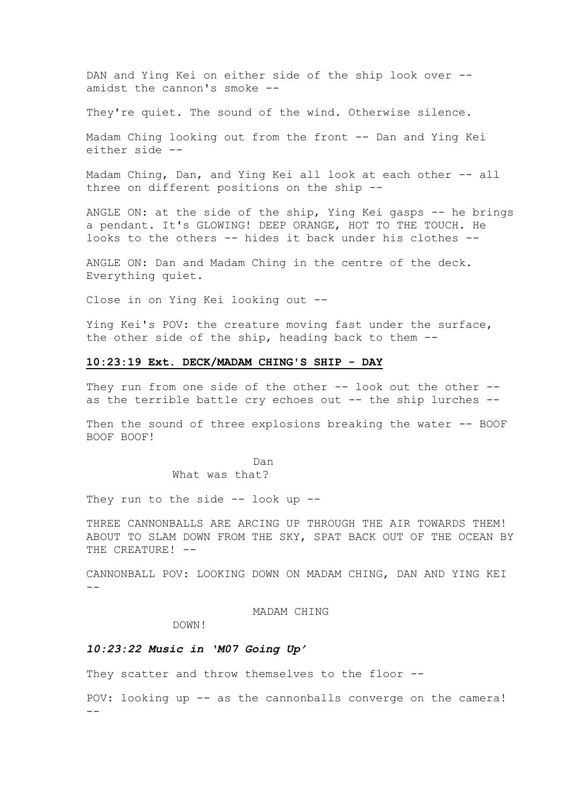DAN and Ying Kei on either side of the ship look over - amidst the cannon's smoke --

They're quiet. The sound of the wind. Otherwise silence.

Madam Ching looking out from the front -- Dan and Ying Kei either side --

Madam Ching, Dan, and Ying Kei all look at each other -- all three on different positions on the ship --

ANGLE ON: at the side of the ship, Ying Kei gasps -- he brings a pendant. It's GLOWING! DEEP ORANGE, HOT TO THE TOUCH. He looks to the others -- hides it back under his clothes --

ANGLE ON: Dan and Madam Ching in the centre of the deck. Everything quiet.

Close in on Ying Kei looking out --

Ying Kei's POV: the creature moving fast under the surface, the other side of the ship, heading back to them --

### **10:23:19 Ext. DECK/MADAM CHING'S SHIP - DAY**

They run from one side of the other -- look out the other -as the terrible battle cry echoes out -- the ship lurches --

Then the sound of three explosions breaking the water -- BOOF BOOF BOOF!

> Dan What was that?

They run to the side  $-$  look up  $-$ 

THREE CANNONBALLS ARE ARCING UP THROUGH THE AIR TOWARDS THEM! ABOUT TO SLAM DOWN FROM THE SKY, SPAT BACK OUT OF THE OCEAN BY THE CREATURE! --

CANNONBALL POV: LOOKING DOWN ON MADAM CHING, DAN AND YING KEI --

MADAM CHING

DOWN!

### *10:23:22 Music in 'M07 Going Up'*

They scatter and throw themselves to the floor --

POV: looking up -- as the cannonballs converge on the camera! --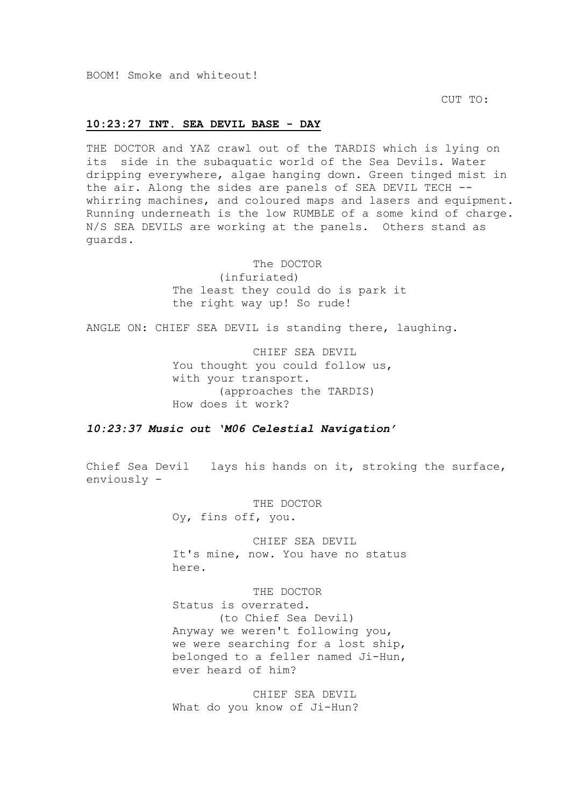BOOM! Smoke and whiteout!

CUT TO:

### **10:23:27 INT. SEA DEVIL BASE - DAY**

THE DOCTOR and YAZ crawl out of the TARDIS which is lying on its side in the subaquatic world of the Sea Devils. Water dripping everywhere, algae hanging down. Green tinged mist in the air. Along the sides are panels of SEA DEVIL TECH - whirring machines, and coloured maps and lasers and equipment. Running underneath is the low RUMBLE of a some kind of charge. N/S SEA DEVILS are working at the panels. Others stand as guards.

The DOCTOR

(infuriated) The least they could do is park it the right way up! So rude!

ANGLE ON: CHIEF SEA DEVIL is standing there, laughing.

CHIEF SEA DEVIL You thought you could follow us, with your transport. (approaches the TARDIS) How does it work?

*10:23:37 Music out 'M06 Celestial Navigation'*

Chief Sea Devil lays his hands on it, stroking the surface, enviously -

THE DOCTOR

Oy, fins off, you.

CHIEF SEA DEVIL It's mine, now. You have no status here.

THE DOCTOR Status is overrated. (to Chief Sea Devil) Anyway we weren't following you, we were searching for a lost ship, belonged to a feller named Ji-Hun, ever heard of him?

CHIEF SEA DEVIL What do you know of Ji-Hun?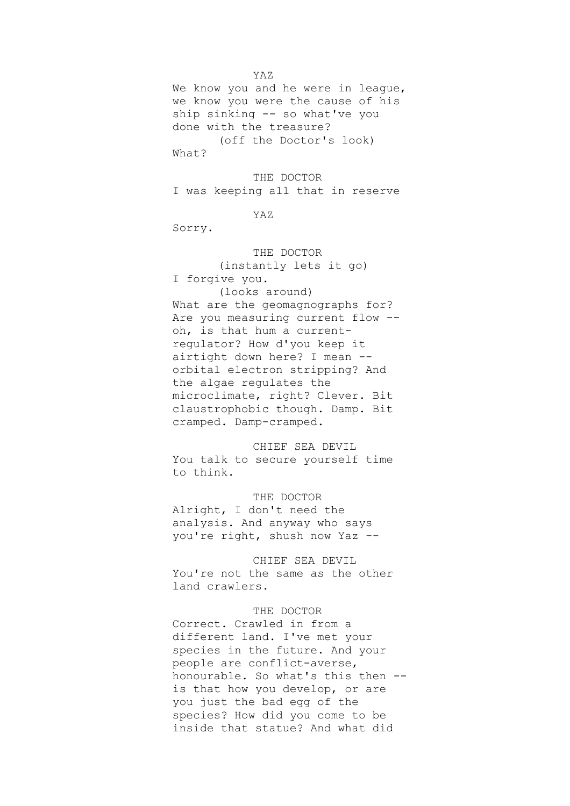We know you and he were in league, we know you were the cause of his ship sinking -- so what've you done with the treasure? (off the Doctor's look)

What?

THE DOCTOR

I was keeping all that in reserve

YAZ

Sorry.

#### THE DOCTOR

(instantly lets it go) I forgive you.

(looks around) What are the geomagnographs for? Are you measuring current flow - oh, is that hum a currentregulator? How d'you keep it airtight down here? I mean - orbital electron stripping? And the algae regulates the microclimate, right? Clever. Bit claustrophobic though. Damp. Bit cramped. Damp-cramped.

CHIEF SEA DEVIL You talk to secure yourself time to think.

THE DOCTOR Alright, I don't need the analysis. And anyway who says you're right, shush now Yaz --

CHIEF SEA DEVIL You're not the same as the other land crawlers.

#### THE DOCTOR

Correct. Crawled in from a different land. I've met your species in the future. And your people are conflict-averse, honourable. So what's this then - is that how you develop, or are you just the bad egg of the species? How did you come to be inside that statue? And what did

YAZ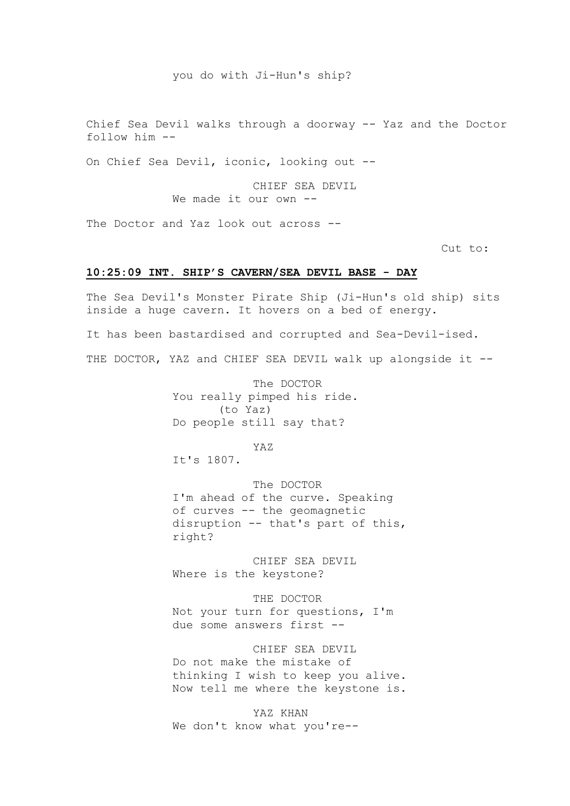#### you do with Ji-Hun's ship?

Chief Sea Devil walks through a doorway -- Yaz and the Doctor follow him --

On Chief Sea Devil, iconic, looking out --

CHIEF SEA DEVIL We made it our own --

The Doctor and Yaz look out across --

Cut to:

### **10:25:09 INT. SHIP'S CAVERN/SEA DEVIL BASE - DAY**

The Sea Devil's Monster Pirate Ship (Ji-Hun's old ship) sits inside a huge cavern. It hovers on a bed of energy.

It has been bastardised and corrupted and Sea-Devil-ised.

THE DOCTOR, YAZ and CHIEF SEA DEVIL walk up alongside it --

The DOCTOR You really pimped his ride. (to Yaz) Do people still say that?

YAZ

It's 1807.

The DOCTOR I'm ahead of the curve. Speaking of curves -- the geomagnetic disruption -- that's part of this, right?

CHIEF SEA DEVIL Where is the keystone?

THE DOCTOR Not your turn for questions, I'm due some answers first --

CHIEF SEA DEVIL Do not make the mistake of thinking I wish to keep you alive. Now tell me where the keystone is.

YAZ KHAN We don't know what you're--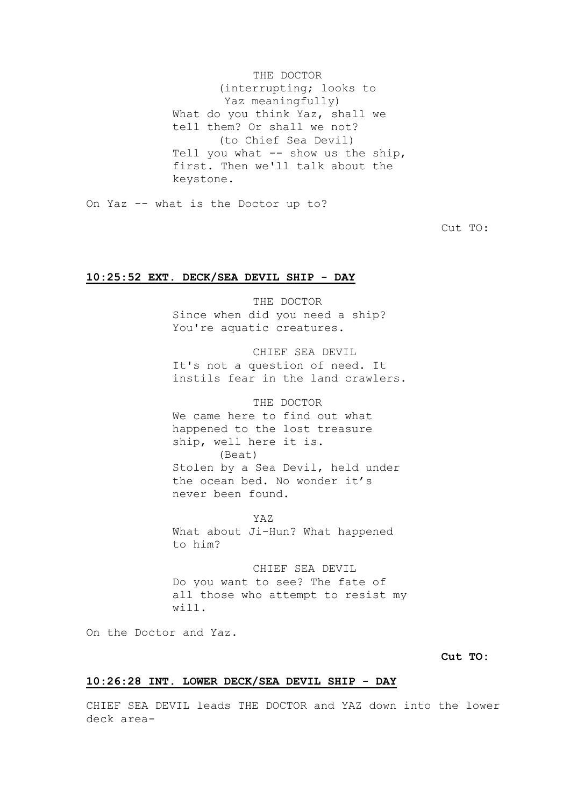THE DOCTOR (interrupting; looks to Yaz meaningfully) What do you think Yaz, shall we tell them? Or shall we not? (to Chief Sea Devil) Tell you what -- show us the ship, first. Then we'll talk about the keystone.

On Yaz -- what is the Doctor up to?

Cut TO:

### **10:25:52 EXT. DECK/SEA DEVIL SHIP - DAY**

THE DOCTOR Since when did you need a ship? You're aquatic creatures.

CHIEF SEA DEVIL

It's not a question of need. It instils fear in the land crawlers.

### THE DOCTOR

We came here to find out what happened to the lost treasure ship, well here it is. (Beat) Stolen by a Sea Devil, held under the ocean bed. No wonder it's never been found.

YAZ

What about Ji-Hun? What happened to him?

CHIEF SEA DEVIL Do you want to see? The fate of all those who attempt to resist my will.

On the Doctor and Yaz.

### **Cut TO:**

### **10:26:28 INT. LOWER DECK/SEA DEVIL SHIP - DAY**

CHIEF SEA DEVIL leads THE DOCTOR and YAZ down into the lower deck area-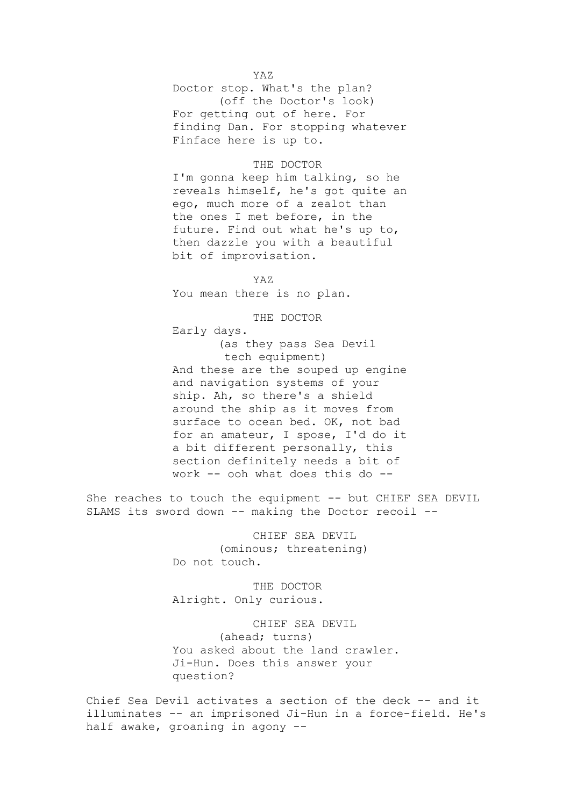### YAZ

Doctor stop. What's the plan? (off the Doctor's look) For getting out of here. For finding Dan. For stopping whatever Finface here is up to.

#### THE DOCTOR

I'm gonna keep him talking, so he reveals himself, he's got quite an ego, much more of a zealot than the ones I met before, in the future. Find out what he's up to, then dazzle you with a beautiful bit of improvisation.

YAZ

You mean there is no plan.

THE DOCTOR

Early days.

(as they pass Sea Devil tech equipment) And these are the souped up engine and navigation systems of your ship. Ah, so there's a shield around the ship as it moves from surface to ocean bed. OK, not bad for an amateur, I spose, I'd do it a bit different personally, this section definitely needs a bit of work -- ooh what does this do --

She reaches to touch the equipment -- but CHIEF SEA DEVIL SLAMS its sword down -- making the Doctor recoil --

> CHIEF SEA DEVIL (ominous; threatening) Do not touch.

THE DOCTOR Alright. Only curious.

CHIEF SEA DEVIL (ahead; turns) You asked about the land crawler. Ji-Hun. Does this answer your question?

Chief Sea Devil activates a section of the deck -- and it illuminates -- an imprisoned Ji-Hun in a force-field. He's half awake, groaning in agony --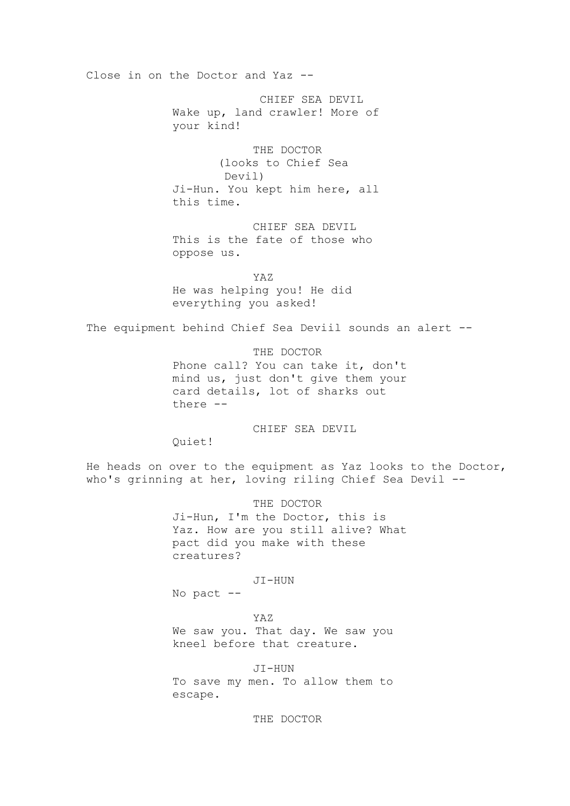Close in on the Doctor and Yaz --

CHIEF SEA DEVIL Wake up, land crawler! More of your kind!

THE DOCTOR (looks to Chief Sea Devil) Ji-Hun. You kept him here, all this time.

CHIEF SEA DEVIL This is the fate of those who oppose us.

YAZ He was helping you! He did everything you asked!

The equipment behind Chief Sea Deviil sounds an alert --

THE DOCTOR

Phone call? You can take it, don't mind us, just don't give them your card details, lot of sharks out there --

CHIEF SEA DEVIL

Quiet!

He heads on over to the equipment as Yaz looks to the Doctor, who's grinning at her, loving riling Chief Sea Devil --

THE DOCTOR

Ji-Hun, I'm the Doctor, this is Yaz. How are you still alive? What pact did you make with these creatures?

JI-HUN

No pact --

YAZ

We saw you. That day. We saw you kneel before that creature.

JI-HUN To save my men. To allow them to escape.

THE DOCTOR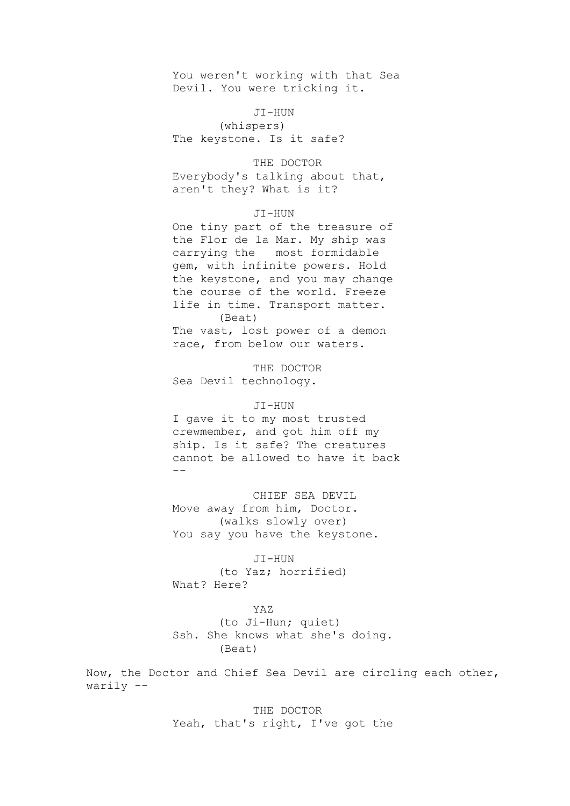You weren't working with that Sea Devil. You were tricking it.

JI-HUN

(whispers) The keystone. Is it safe?

THE DOCTOR Everybody's talking about that, aren't they? What is it?

### JI-HUN

One tiny part of the treasure of the Flor de la Mar. My ship was carrying the most formidable gem, with infinite powers. Hold the keystone, and you may change the course of the world. Freeze life in time. Transport matter. (Beat)

The vast, lost power of a demon race, from below our waters.

THE DOCTOR Sea Devil technology.

#### JI-HUN

I gave it to my most trusted crewmember, and got him off my ship. Is it safe? The creatures cannot be allowed to have it back --

CHIEF SEA DEVIL Move away from him, Doctor. (walks slowly over) You say you have the keystone.

### JI-HUN

(to Yaz; horrified) What? Here?

#### YAZ

(to Ji-Hun; quiet) Ssh. She knows what she's doing. (Beat)

Now, the Doctor and Chief Sea Devil are circling each other, warily --

> THE DOCTOR Yeah, that's right, I've got the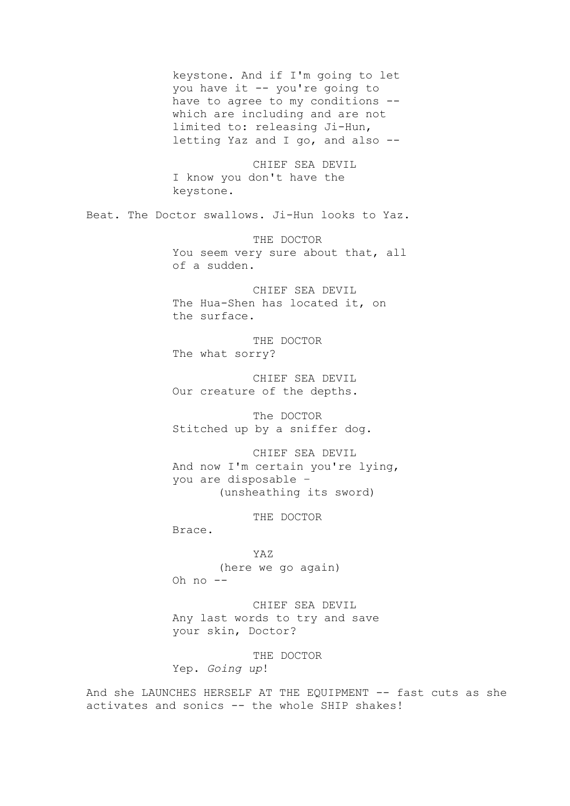keystone. And if I'm going to let you have it -- you're going to have to agree to my conditions - which are including and are not limited to: releasing Ji-Hun, letting Yaz and I go, and also -- CHIEF SEA DEVIL I know you don't have the keystone. Beat. The Doctor swallows. Ji-Hun looks to Yaz. THE DOCTOR You seem very sure about that, all of a sudden. CHIEF SEA DEVIL The Hua-Shen has located it, on the surface. THE DOCTOR The what sorry? CHIEF SEA DEVIL Our creature of the depths. The DOCTOR Stitched up by a sniffer dog. CHIEF SEA DEVIL And now I'm certain you're lying, you are disposable – (unsheathing its sword) THE DOCTOR Brace. YAZ (here we go again) Oh no -- CHIEF SEA DEVIL Any last words to try and save your skin, Doctor? THE DOCTOR Yep. *Going up*! And she LAUNCHES HERSELF AT THE EQUIPMENT -- fast cuts as she

activates and sonics -- the whole SHIP shakes!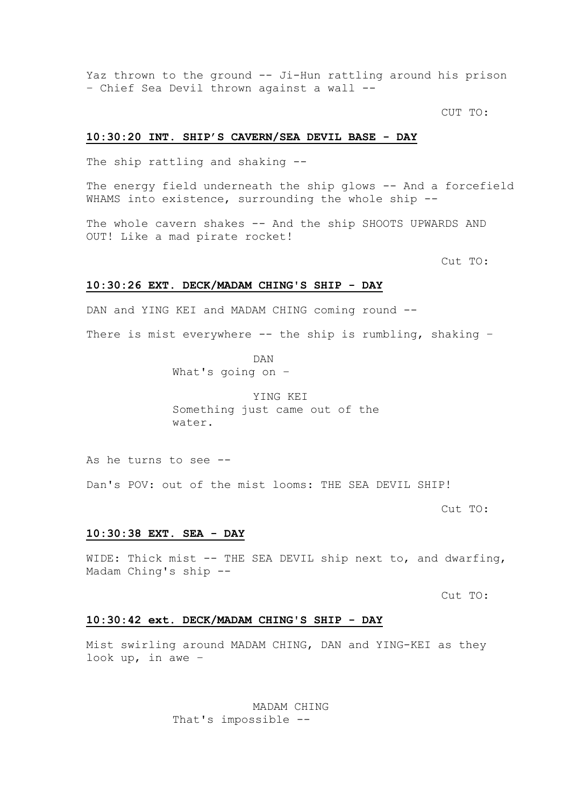Yaz thrown to the ground -- Ji-Hun rattling around his prison – Chief Sea Devil thrown against a wall --

CUT TO:

### **10:30:20 INT. SHIP'S CAVERN/SEA DEVIL BASE - DAY**

The ship rattling and shaking --

The energy field underneath the ship glows -- And a forcefield WHAMS into existence, surrounding the whole ship --

The whole cavern shakes -- And the ship SHOOTS UPWARDS AND OUT! Like a mad pirate rocket!

Cut TO:

#### **10:30:26 EXT. DECK/MADAM CHING'S SHIP - DAY**

DAN and YING KEI and MADAM CHING coming round --

There is mist everywhere -- the ship is rumbling, shaking -

DAN What's going on –

YING KEI Something just came out of the water.

As he turns to see --

Dan's POV: out of the mist looms: THE SEA DEVIL SHIP!

Cut TO:

### **10:30:38 EXT. SEA - DAY**

WIDE: Thick mist -- THE SEA DEVIL ship next to, and dwarfing, Madam Ching's ship --

Cut TO:

### **10:30:42 ext. DECK/MADAM CHING'S SHIP - DAY**

Mist swirling around MADAM CHING, DAN and YING-KEI as they look up, in awe –

> MADAM CHING That's impossible --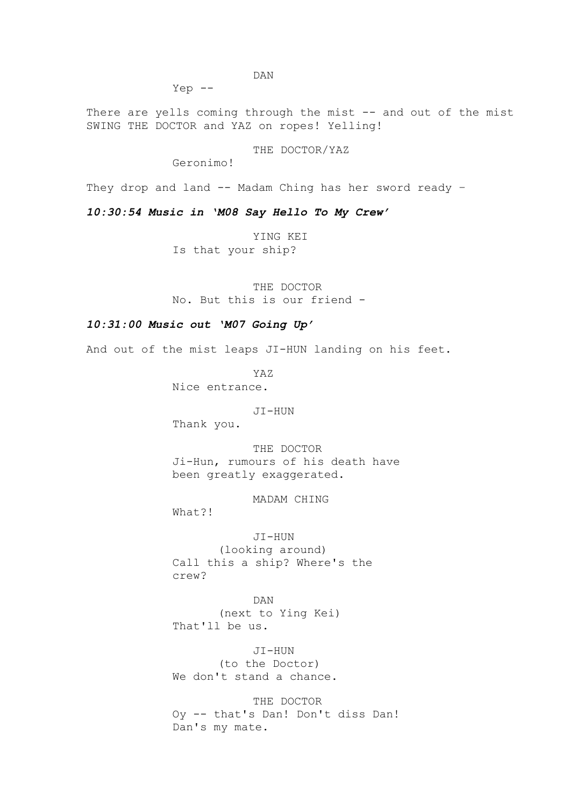Yep --

There are yells coming through the mist -- and out of the mist SWING THE DOCTOR and YAZ on ropes! Yelling!

THE DOCTOR/YAZ

Geronimo!

They drop and land -- Madam Ching has her sword ready -

*10:30:54 Music in 'M08 Say Hello To My Crew'*

YING KEI

Is that your ship?

THE DOCTOR No. But this is our friend -

### *10:31:00 Music out 'M07 Going Up'*

And out of the mist leaps JI-HUN landing on his feet.

YAZ Nice entrance.

#### JI-HUN

Thank you.

THE DOCTOR Ji-Hun, rumours of his death have been greatly exaggerated.

MADAM CHING

What?!

JI-HUN (looking around) Call this a ship? Where's the crew?

DAN (next to Ying Kei) That'll be us.

JI-HUN (to the Doctor) We don't stand a chance.

THE DOCTOR Oy -- that's Dan! Don't diss Dan! Dan's my mate.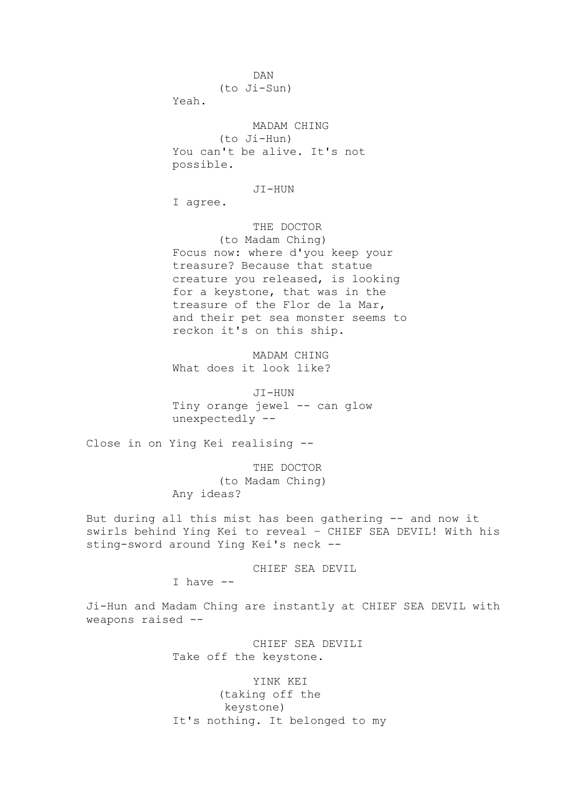DAN (to Ji-Sun)

Yeah.

MADAM CHING (to Ji-Hun) You can't be alive. It's not possible.

JI-HUN

I agree.

THE DOCTOR

(to Madam Ching) Focus now: where d'you keep your treasure? Because that statue creature you released, is looking for a keystone, that was in the treasure of the Flor de la Mar, and their pet sea monster seems to reckon it's on this ship.

MADAM CHING What does it look like?

JI-HUN Tiny orange jewel -- can glow unexpectedly --

Close in on Ying Kei realising --

THE DOCTOR (to Madam Ching) Any ideas?

But during all this mist has been gathering -- and now it swirls behind Ying Kei to reveal – CHIEF SEA DEVIL! With his sting-sword around Ying Kei's neck --

CHIEF SEA DEVIL

I have --

Ji-Hun and Madam Ching are instantly at CHIEF SEA DEVIL with weapons raised --

> CHIEF SEA DEVILI Take off the keystone.

YINK KEI (taking off the keystone) It's nothing. It belonged to my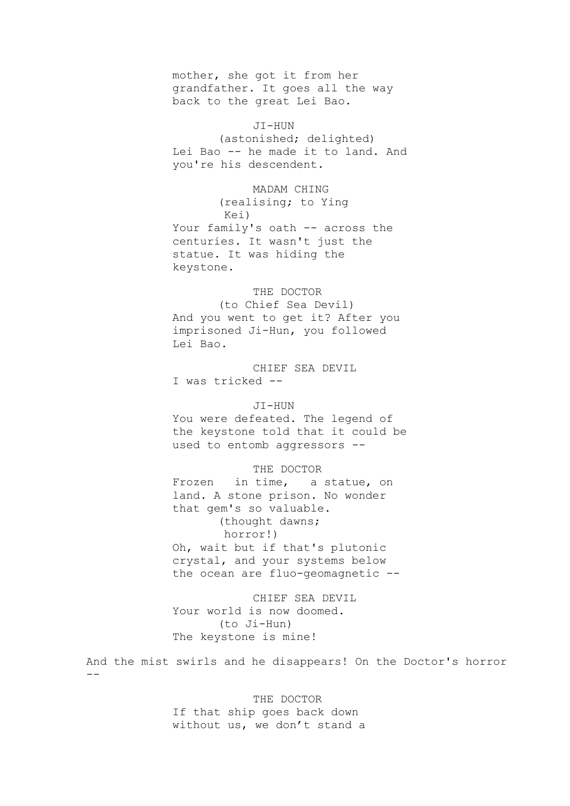mother, she got it from her grandfather. It goes all the way back to the great Lei Bao.

JI-HUN (astonished; delighted) Lei Bao -- he made it to land. And you're his descendent.

MADAM CHING (realising; to Ying Kei) Your family's oath -- across the centuries. It wasn't just the statue. It was hiding the keystone.

### THE DOCTOR

(to Chief Sea Devil) And you went to get it? After you imprisoned Ji-Hun, you followed Lei Bao.

CHIEF SEA DEVIL I was tricked --

#### JI-HUN

You were defeated. The legend of the keystone told that it could be used to entomb aggressors --

## THE DOCTOR

Frozen in time, a statue, on land. A stone prison. No wonder that gem's so valuable. (thought dawns; horror!) Oh, wait but if that's plutonic crystal, and your systems below the ocean are fluo-geomagnetic --

CHIEF SEA DEVIL Your world is now doomed. (to Ji-Hun) The keystone is mine!

And the mist swirls and he disappears! On the Doctor's horror --

### THE DOCTOR

If that ship goes back down without us, we don't stand a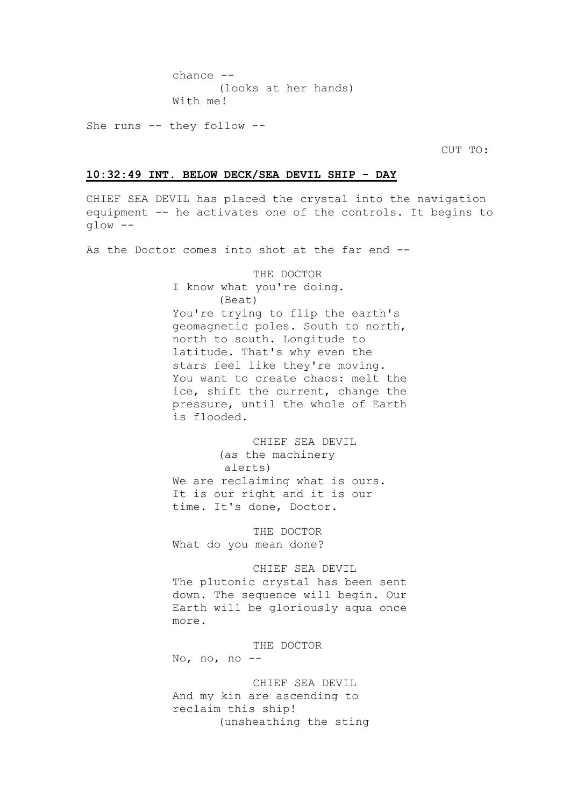chance -- (looks at her hands) With me!

She runs -- they follow --

CUT TO:

### **10:32:49 INT. BELOW DECK/SEA DEVIL SHIP - DAY**

CHIEF SEA DEVIL has placed the crystal into the navigation equipment -- he activates one of the controls. It begins to glow --

As the Doctor comes into shot at the far end --

THE DOCTOR I know what you're doing. (Beat) You're trying to flip the earth's geomagnetic poles. South to north, north to south. Longitude to latitude. That's why even the stars feel like they're moving. You want to create chaos: melt the ice, shift the current, change the pressure, until the whole of Earth is flooded.

CHIEF SEA DEVIL (as the machinery alerts) We are reclaiming what is ours. It is our right and it is our time. It's done, Doctor.

THE DOCTOR What do you mean done?

### CHIEF SEA DEVIL

The plutonic crystal has been sent down. The sequence will begin. Our Earth will be gloriously aqua once more.

THE DOCTOR

No, no, no --

CHIEF SEA DEVIL And my kin are ascending to reclaim this ship! (unsheathing the sting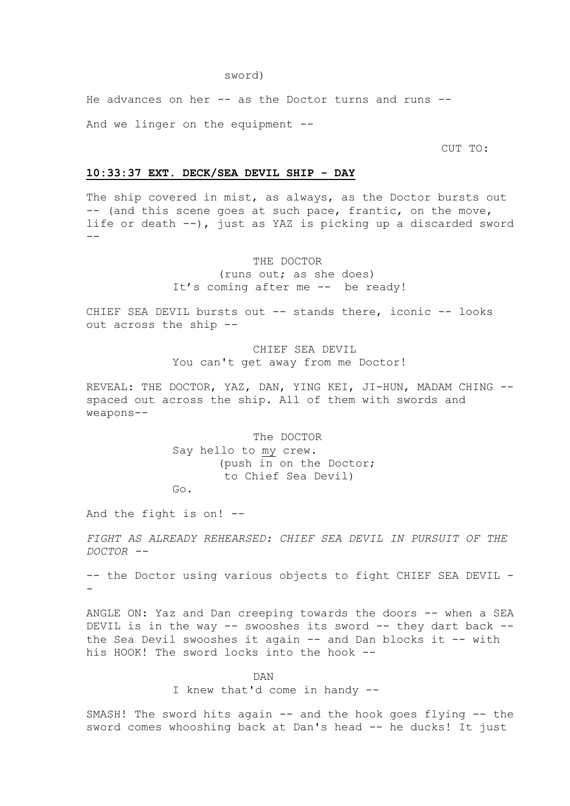He advances on her -- as the Doctor turns and runs --

And we linger on the equipment --

CUT TO:

### **10:33:37 EXT. DECK/SEA DEVIL SHIP - DAY**

The ship covered in mist, as always, as the Doctor bursts out -- (and this scene goes at such pace, frantic, on the move, life or death --), just as YAZ is picking up a discarded sword  $-$ 

THE DOCTOR

(runs out; as she does) It's coming after me -- be ready!

CHIEF SEA DEVIL bursts out -- stands there, iconic -- looks out across the ship --

> CHIEF SEA DEVIL You can't get away from me Doctor!

REVEAL: THE DOCTOR, YAZ, DAN, YING KEI, JI-HUN, MADAM CHING -spaced out across the ship. All of them with swords and weapons--

> The DOCTOR Say hello to my crew. (push in on the Doctor; to Chief Sea Devil) Go.

And the fight is on! --

*FIGHT AS ALREADY REHEARSED: CHIEF SEA DEVIL IN PURSUIT OF THE DOCTOR --*

-- the Doctor using various objects to fight CHIEF SEA DEVIL - -

ANGLE ON: Yaz and Dan creeping towards the doors -- when a SEA DEVIL is in the way -- swooshes its sword -- they dart back - the Sea Devil swooshes it again -- and Dan blocks it -- with his HOOK! The sword locks into the hook --

DAN

I knew that'd come in handy --

SMASH! The sword hits again -- and the hook goes flying -- the sword comes whooshing back at Dan's head -- he ducks! It just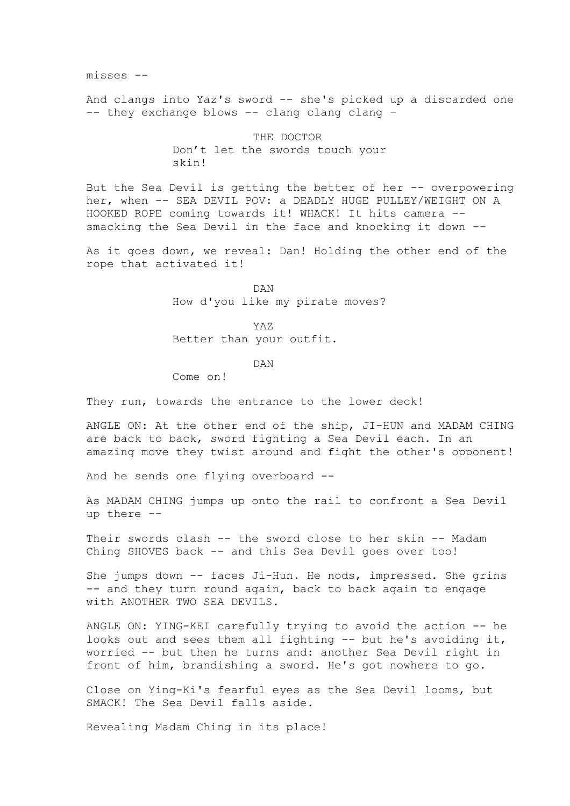misses --

And clangs into Yaz's sword -- she's picked up a discarded one -- they exchange blows -- clang clang clang –

> THE DOCTOR Don't let the swords touch your skin!

But the Sea Devil is getting the better of her -- overpowering her, when -- SEA DEVIL POV: a DEADLY HUGE PULLEY/WEIGHT ON A HOOKED ROPE coming towards it! WHACK! It hits camera - smacking the Sea Devil in the face and knocking it down --

As it goes down, we reveal: Dan! Holding the other end of the rope that activated it!

> DAN How d'you like my pirate moves?

> > YAZ

Better than your outfit.

DAN

Come on!

They run, towards the entrance to the lower deck!

ANGLE ON: At the other end of the ship, JI-HUN and MADAM CHING are back to back, sword fighting a Sea Devil each. In an amazing move they twist around and fight the other's opponent!

And he sends one flying overboard --

As MADAM CHING jumps up onto the rail to confront a Sea Devil up there --

Their swords clash -- the sword close to her skin -- Madam Ching SHOVES back -- and this Sea Devil goes over too!

She jumps down -- faces Ji-Hun. He nods, impressed. She grins -- and they turn round again, back to back again to engage with ANOTHER TWO SEA DEVILS.

ANGLE ON: YING-KEI carefully trying to avoid the action -- he looks out and sees them all fighting -- but he's avoiding it, worried -- but then he turns and: another Sea Devil right in front of him, brandishing a sword. He's got nowhere to go.

Close on Ying-Ki's fearful eyes as the Sea Devil looms, but SMACK! The Sea Devil falls aside.

Revealing Madam Ching in its place!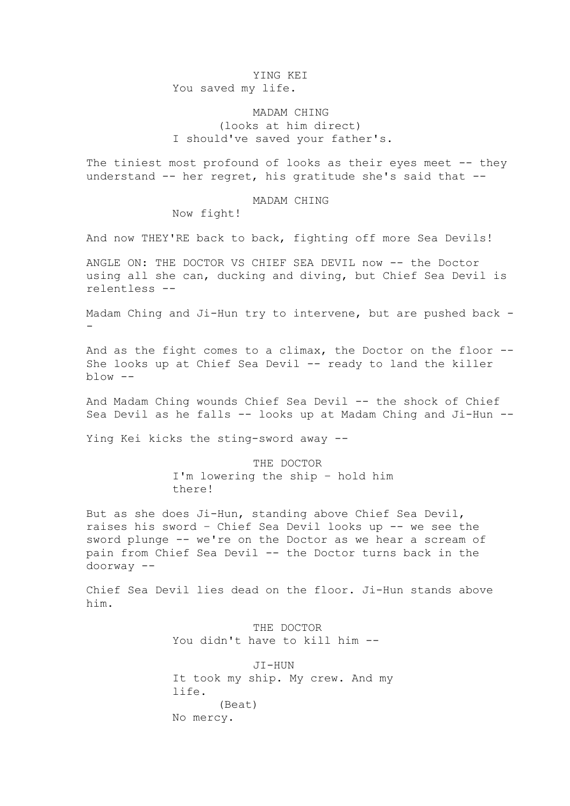### YING KEI You saved my life.

## MADAM CHING (looks at him direct) I should've saved your father's.

The tiniest most profound of looks as their eyes meet -- they understand -- her regret, his gratitude she's said that --

#### MADAM CHING

Now fight!

And now THEY'RE back to back, fighting off more Sea Devils!

ANGLE ON: THE DOCTOR VS CHIEF SEA DEVIL now -- the Doctor using all she can, ducking and diving, but Chief Sea Devil is relentless --

Madam Ching and Ji-Hun try to intervene, but are pushed back - -

And as the fight comes to a climax, the Doctor on the floor -- She looks up at Chief Sea Devil -- ready to land the killer  $blow --$ 

And Madam Ching wounds Chief Sea Devil -- the shock of Chief Sea Devil as he falls -- looks up at Madam Ching and Ji-Hun --

Ying Kei kicks the sting-sword away --

THE DOCTOR I'm lowering the ship – hold him there!

But as she does Ji-Hun, standing above Chief Sea Devil, raises his sword – Chief Sea Devil looks up -- we see the sword plunge -- we're on the Doctor as we hear a scream of pain from Chief Sea Devil -- the Doctor turns back in the doorway --

Chief Sea Devil lies dead on the floor. Ji-Hun stands above him.

> THE DOCTOR You didn't have to kill him --

JI-HUN It took my ship. My crew. And my life. (Beat) No mercy.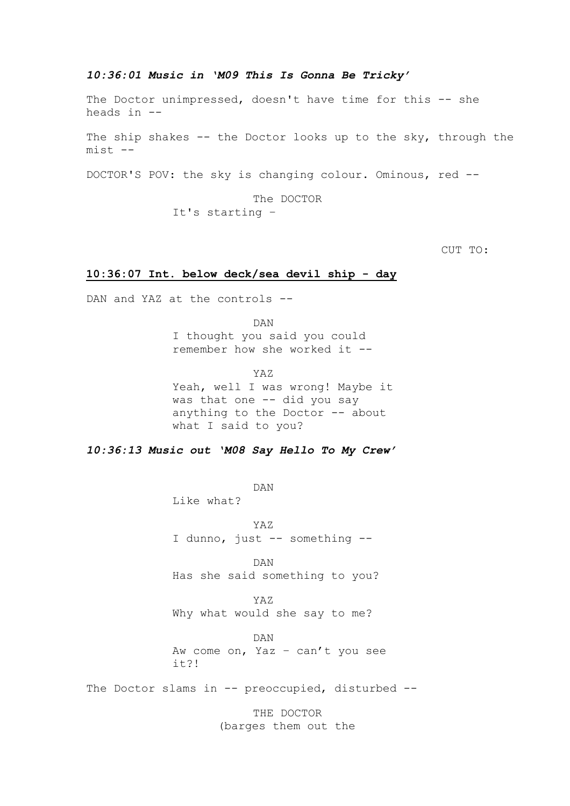### *10:36:01 Music in 'M09 This Is Gonna Be Tricky'*

The Doctor unimpressed, doesn't have time for this -- she heads in --

The ship shakes -- the Doctor looks up to the sky, through the mist --

DOCTOR'S POV: the sky is changing colour. Ominous, red --

The DOCTOR It's starting –

CUT TO:

### **10:36:07 Int. below deck/sea devil ship - day**

DAN and YAZ at the controls --

DAN I thought you said you could remember how she worked it --

YAZ Yeah, well I was wrong! Maybe it was that one -- did you say anything to the Doctor -- about what I said to you?

*10:36:13 Music out 'M08 Say Hello To My Crew'*

DAN

Like what?

YAZ I dunno, just -- something --

DAN Has she said something to you?

YAZ Why what would she say to me?

DAN Aw come on, Yaz – can't you see it?!

The Doctor slams in -- preoccupied, disturbed --

THE DOCTOR (barges them out the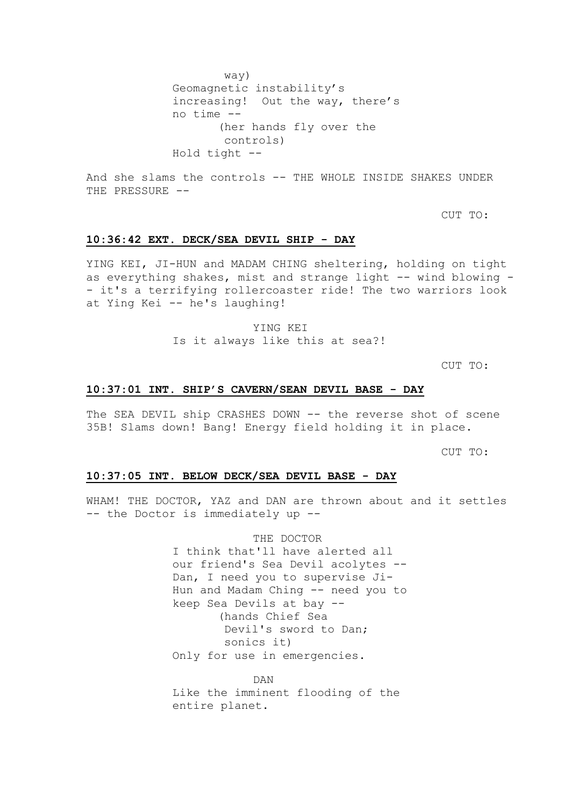way) Geomagnetic instability's increasing! Out the way, there's no time -- (her hands fly over the controls) Hold tight --

And she slams the controls -- THE WHOLE INSIDE SHAKES UNDER THE PRESSURE --

CUT TO:

### **10:36:42 EXT. DECK/SEA DEVIL SHIP - DAY**

YING KEI, JI-HUN and MADAM CHING sheltering, holding on tight as everything shakes, mist and strange light -- wind blowing -- it's a terrifying rollercoaster ride! The two warriors look at Ying Kei -- he's laughing!

YING KEI

Is it always like this at sea?!

CUT TO:

### **10:37:01 INT. SHIP'S CAVERN/SEAN DEVIL BASE - DAY**

The SEA DEVIL ship CRASHES DOWN -- the reverse shot of scene 35B! Slams down! Bang! Energy field holding it in place.

CUT TO:

### **10:37:05 INT. BELOW DECK/SEA DEVIL BASE - DAY**

WHAM! THE DOCTOR, YAZ and DAN are thrown about and it settles -- the Doctor is immediately up --

### THE DOCTOR

I think that'll have alerted all our friend's Sea Devil acolytes -- Dan, I need you to supervise Ji-Hun and Madam Ching -- need you to keep Sea Devils at bay -- (hands Chief Sea Devil's sword to Dan; sonics it) Only for use in emergencies.

DAN Like the imminent flooding of the entire planet.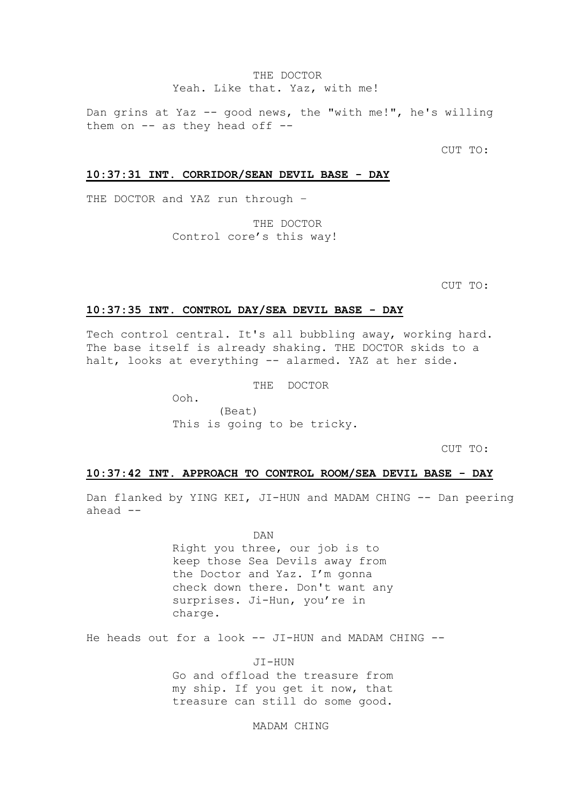### THE DOCTOR Yeah. Like that. Yaz, with me!

Dan grins at Yaz -- good news, the "with me!", he's willing them on  $--$  as they head off  $--$ 

CUT TO:

### **10:37:31 INT. CORRIDOR/SEAN DEVIL BASE - DAY**

THE DOCTOR and YAZ run through –

THE DOCTOR Control core's this way!

CUT TO:

### **10:37:35 INT. CONTROL DAY/SEA DEVIL BASE - DAY**

Tech control central. It's all bubbling away, working hard. The base itself is already shaking. THE DOCTOR skids to a halt, looks at everything -- alarmed. YAZ at her side.

THE DOCTOR

Ooh. (Beat) This is going to be tricky.

CUT TO:

### **10:37:42 INT. APPROACH TO CONTROL ROOM/SEA DEVIL BASE - DAY**

Dan flanked by YING KEI, JI-HUN and MADAM CHING -- Dan peering ahead --

DAN

Right you three, our job is to keep those Sea Devils away from the Doctor and Yaz. I'm gonna check down there. Don't want any surprises. Ji-Hun, you're in charge.

He heads out for a look -- JI-HUN and MADAM CHING --

JI-HUN Go and offload the treasure from my ship. If you get it now, that treasure can still do some good.

MADAM CHING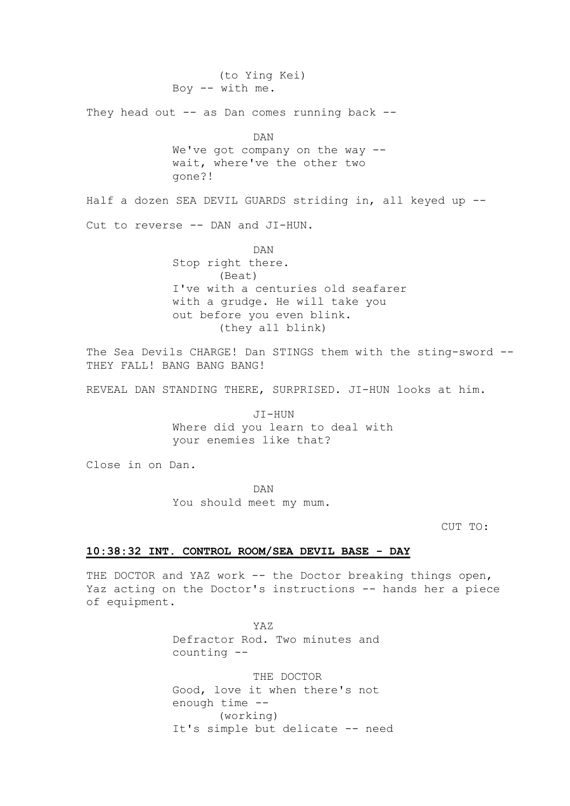(to Ying Kei) Boy  $--$  with me.

They head out  $-$  as Dan comes running back  $-$ -

DAN

We've got company on the way -wait, where've the other two gone?!

Half a dozen SEA DEVIL GUARDS striding in, all keyed up -- Cut to reverse -- DAN and JI-HUN.

> DAN Stop right there. (Beat) I've with a centuries old seafarer with a grudge. He will take you out before you even blink. (they all blink)

The Sea Devils CHARGE! Dan STINGS them with the sting-sword --THEY FALL! BANG BANG BANG!

REVEAL DAN STANDING THERE, SURPRISED. JI-HUN looks at him.

JI-HUN Where did you learn to deal with your enemies like that?

Close in on Dan.

DAN You should meet my mum.

CUT TO:

## **10:38:32 INT. CONTROL ROOM/SEA DEVIL BASE - DAY**

THE DOCTOR and YAZ work -- the Doctor breaking things open, Yaz acting on the Doctor's instructions -- hands her a piece of equipment.

> YAZ Defractor Rod. Two minutes and counting --

THE DOCTOR Good, love it when there's not enough time -- (working) It's simple but delicate -- need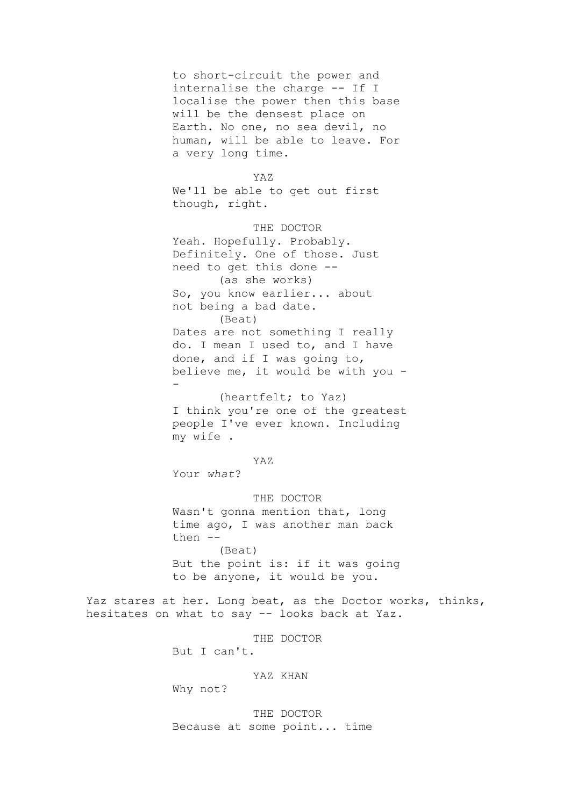to short-circuit the power and internalise the charge -- If I localise the power then this base will be the densest place on Earth. No one, no sea devil, no human, will be able to leave. For a very long time.

```
YAZ
```
We'll be able to get out first though, right.

THE DOCTOR Yeah. Hopefully. Probably. Definitely. One of those. Just need to get this done -- (as she works) So, you know earlier... about not being a bad date. (Beat) Dates are not something I really do. I mean I used to, and I have done, and if I was going to, believe me, it would be with you - -

(heartfelt; to Yaz) I think you're one of the greatest people I've ever known. Including my wife .

YAZ

Your *what*?

THE DOCTOR Wasn't gonna mention that, long time ago, I was another man back then -- (Beat) But the point is: if it was going to be anyone, it would be you.

Yaz stares at her. Long beat, as the Doctor works, thinks, hesitates on what to say -- looks back at Yaz.

THE DOCTOR

But I can't.

### YAZ KHAN

Why not?

THE DOCTOR Because at some point... time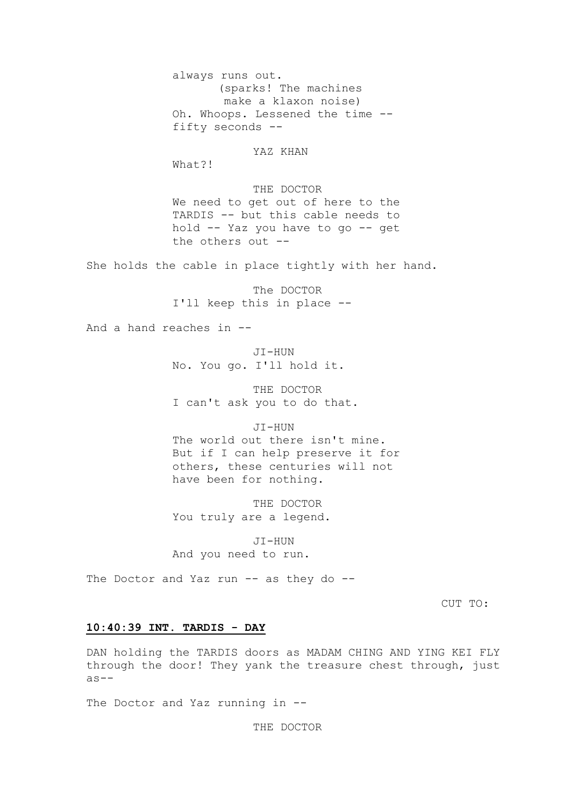always runs out. (sparks! The machines make a klaxon noise) Oh. Whoops. Lessened the time - fifty seconds --

YAZ KHAN

What?!

THE DOCTOR We need to get out of here to the TARDIS -- but this cable needs to hold -- Yaz you have to go -- get the others out --

She holds the cable in place tightly with her hand.

The DOCTOR I'll keep this in place --

And a hand reaches in --

JI-HUN No. You go. I'll hold it.

THE DOCTOR I can't ask you to do that.

JI-HUN

The world out there isn't mine. But if I can help preserve it for others, these centuries will not have been for nothing.

THE DOCTOR You truly are a legend.

JI-HUN And you need to run.

The Doctor and Yaz run -- as they do --

CUT TO:

### **10:40:39 INT. TARDIS - DAY**

DAN holding the TARDIS doors as MADAM CHING AND YING KEI FLY through the door! They yank the treasure chest through, just  $as--$ 

The Doctor and Yaz running in --

THE DOCTOR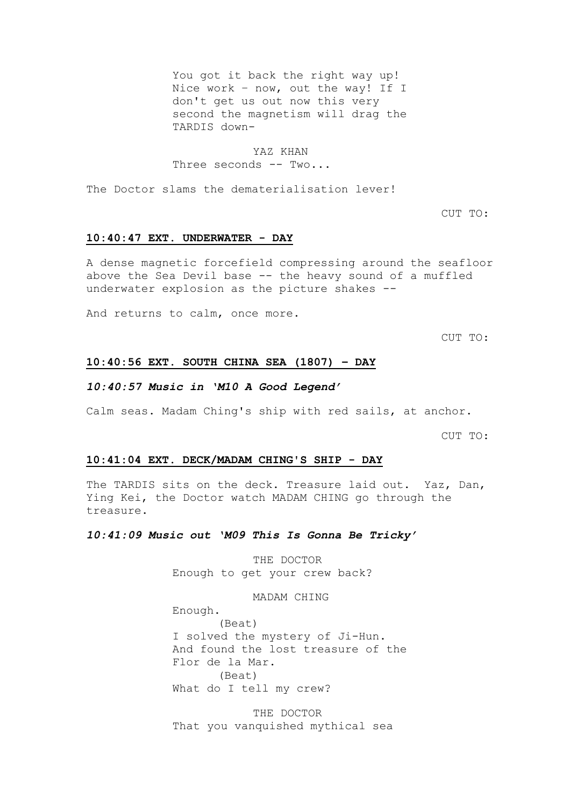You got it back the right way up! Nice work – now, out the way! If I don't get us out now this very second the magnetism will drag the TARDIS down-

### YAZ KHAN

Three seconds -- Two...

The Doctor slams the dematerialisation lever!

CUT TO:

### **10:40:47 EXT. UNDERWATER - DAY**

A dense magnetic forcefield compressing around the seafloor above the Sea Devil base -- the heavy sound of a muffled underwater explosion as the picture shakes --

And returns to calm, once more.

CUT TO:

### **10:40:56 EXT. SOUTH CHINA SEA (1807) – DAY**

### *10:40:57 Music in 'M10 A Good Legend'*

Calm seas. Madam Ching's ship with red sails, at anchor.

CUT TO:

#### **10:41:04 EXT. DECK/MADAM CHING'S SHIP - DAY**

The TARDIS sits on the deck. Treasure laid out. Yaz, Dan, Ying Kei, the Doctor watch MADAM CHING go through the treasure.

### *10:41:09 Music out 'M09 This Is Gonna Be Tricky'*

THE DOCTOR Enough to get your crew back?

MADAM CHING

Enough. (Beat) I solved the mystery of Ji-Hun. And found the lost treasure of the Flor de la Mar. (Beat) What do I tell my crew?

THE DOCTOR That you vanquished mythical sea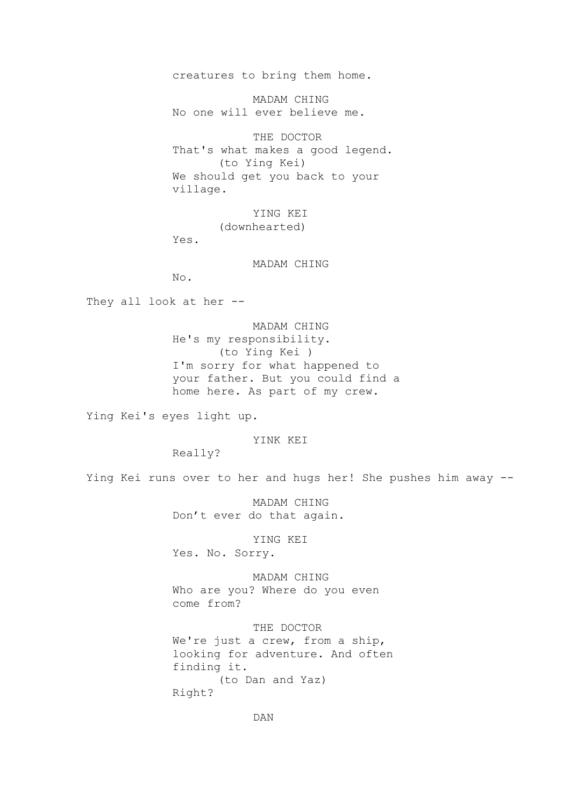creatures to bring them home.

MADAM CHING No one will ever believe me.

THE DOCTOR That's what makes a good legend. (to Ying Kei) We should get you back to your village.

> YING KEI (downhearted)

Yes.

MADAM CHING

No.

They all look at her --

MADAM CHING He's my responsibility. (to Ying Kei ) I'm sorry for what happened to your father. But you could find a home here. As part of my crew.

Ying Kei's eyes light up.

YINK KEI

Really?

Ying Kei runs over to her and hugs her! She pushes him away --

MADAM CHING Don't ever do that again.

YING KEI Yes. No. Sorry.

MADAM CHING Who are you? Where do you even come from?

THE DOCTOR We're just a crew, from a ship, looking for adventure. And often finding it. (to Dan and Yaz) Right?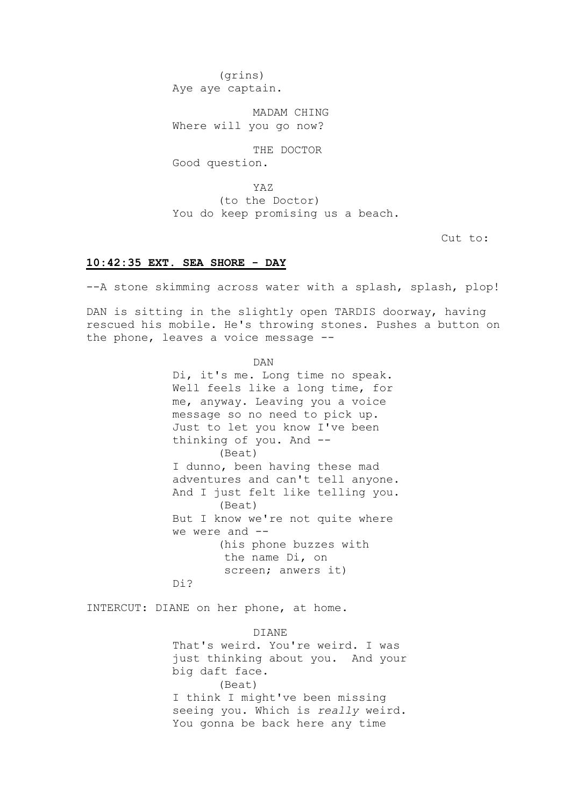(grins) Aye aye captain.

MADAM CHING Where will you go now?

THE DOCTOR Good question.

YAZ (to the Doctor) You do keep promising us a beach.

Cut to:

## **10:42:35 EXT. SEA SHORE - DAY**

--A stone skimming across water with a splash, splash, plop!

DAN is sitting in the slightly open TARDIS doorway, having rescued his mobile. He's throwing stones. Pushes a button on the phone, leaves a voice message --

DAN

Di, it's me. Long time no speak. Well feels like a long time, for me, anyway. Leaving you a voice message so no need to pick up. Just to let you know I've been thinking of you. And -- (Beat) I dunno, been having these mad adventures and can't tell anyone. And I just felt like telling you. (Beat) But I know we're not quite where we were and --(his phone buzzes with the name Di, on screen; anwers it) Di?

INTERCUT: DIANE on her phone, at home.

DIANE That's weird. You're weird. I was just thinking about you. And your big daft face. (Beat) I think I might've been missing seeing you. Which is *really* weird. You gonna be back here any time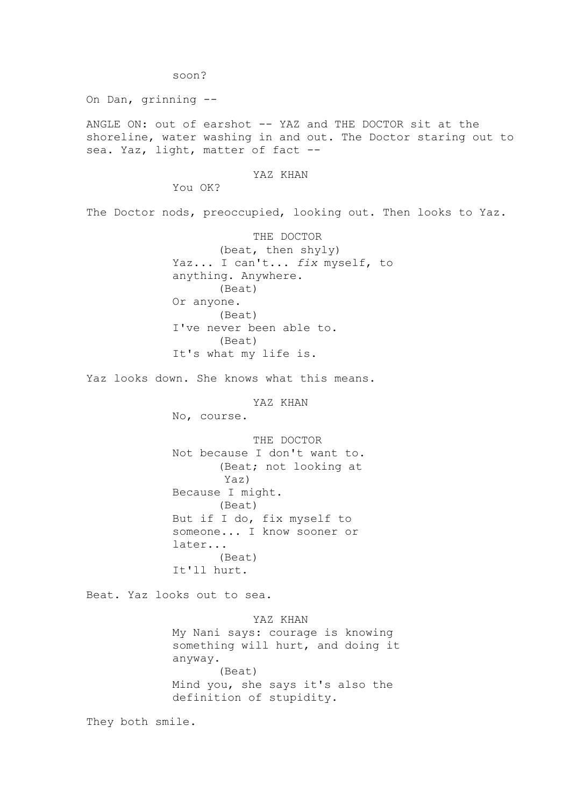soon?

On Dan, grinning --

ANGLE ON: out of earshot -- YAZ and THE DOCTOR sit at the shoreline, water washing in and out. The Doctor staring out to sea. Yaz, light, matter of fact --

### YAZ KHAN

You OK?

The Doctor nods, preoccupied, looking out. Then looks to Yaz.

THE DOCTOR (beat, then shyly) Yaz... I can't... *fix* myself, to anything. Anywhere. (Beat) Or anyone. (Beat) I've never been able to. (Beat) It's what my life is.

Yaz looks down. She knows what this means.

YAZ KHAN

No, course.

THE DOCTOR Not because I don't want to. (Beat; not looking at Yaz) Because I might. (Beat) But if I do, fix myself to someone... I know sooner or later... (Beat) It'll hurt.

Beat. Yaz looks out to sea.

YAZ KHAN My Nani says: courage is knowing something will hurt, and doing it anyway. (Beat) Mind you, she says it's also the definition of stupidity.

They both smile.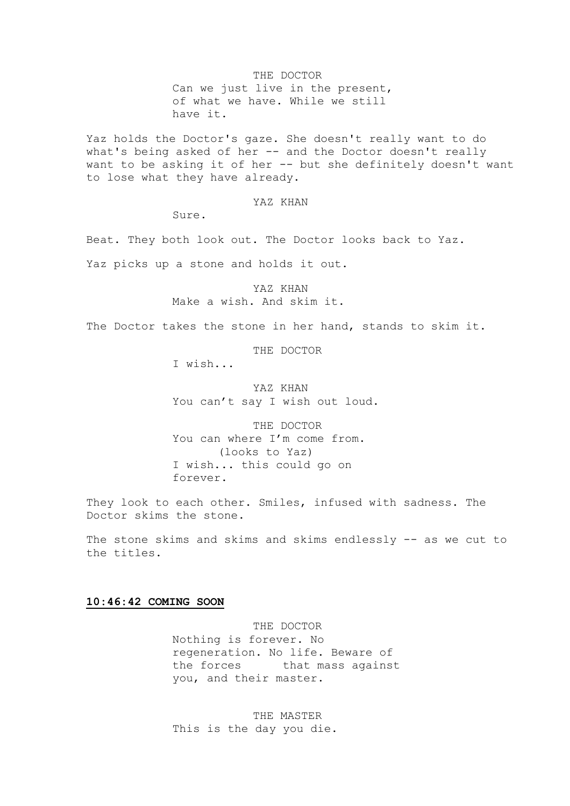THE DOCTOR Can we just live in the present, of what we have. While we still have it.

Yaz holds the Doctor's gaze. She doesn't really want to do what's being asked of her -- and the Doctor doesn't really want to be asking it of her -- but she definitely doesn't want to lose what they have already.

### YAZ KHAN

Sure.

Beat. They both look out. The Doctor looks back to Yaz.

Yaz picks up a stone and holds it out.

YAZ KHAN Make a wish. And skim it.

The Doctor takes the stone in her hand, stands to skim it.

THE DOCTOR

I wish...

YAZ KHAN You can't say I wish out loud.

THE DOCTOR You can where I'm come from. (looks to Yaz) I wish... this could go on forever.

They look to each other. Smiles, infused with sadness. The Doctor skims the stone.

The stone skims and skims and skims endlessly -- as we cut to the titles.

### **10:46:42 COMING SOON**

THE DOCTOR Nothing is forever. No regeneration. No life. Beware of the forces that mass against you, and their master.

THE MASTER This is the day you die.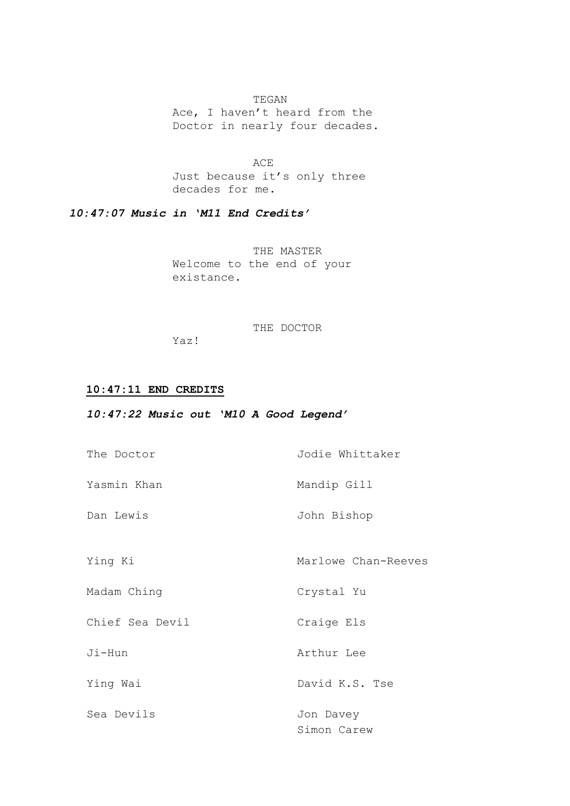## TEGAN

Ace, I haven't heard from the Doctor in nearly four decades.

ACE Just because it's only three decades for me.

*10:47:07 Music in 'M11 End Credits'*

THE MASTER Welcome to the end of your existance.

### THE DOCTOR

Yaz!

## **10:47:11 END CREDITS**

## *10:47:22 Music out 'M10 A Good Legend'*

| The Doctor      | Jodie Whittaker          |
|-----------------|--------------------------|
| Yasmin Khan     | Mandip Gill              |
| Dan Lewis       | John Bishop              |
| Ying Ki         | Marlowe Chan-Reeves      |
| Madam Ching     | Crystal Yu               |
| Chief Sea Devil | Craige Els               |
| Ji-Hun          | Arthur Lee               |
| Ying Wai        | David K.S. Tse           |
| Sea Devils      | Jon Davey<br>Simon Carew |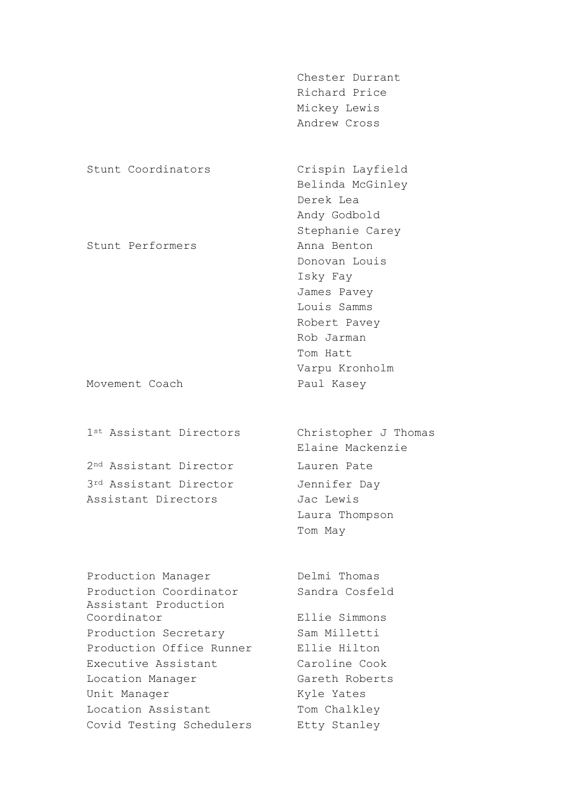|                         | Chester Durrant      |
|-------------------------|----------------------|
|                         | Richard Price        |
|                         | Mickey Lewis         |
|                         | Andrew Cross         |
|                         |                      |
| Stunt Coordinators      | Crispin Layfield     |
|                         | Belinda McGinley     |
|                         | Derek Lea            |
|                         | Andy Godbold         |
|                         | Stephanie Carey      |
| Stunt Performers        | Anna Benton          |
|                         | Donovan Louis        |
|                         | Isky Fay             |
|                         | James Pavey          |
|                         | Louis Samms          |
|                         | Robert Pavey         |
|                         | Rob Jarman           |
|                         | Tom Hatt             |
|                         | Varpu Kronholm       |
| Movement Coach          | Paul Kasey           |
|                         |                      |
| 1st Assistant Directors | Christopher J Thomas |

2nd Assistant Director Lauren Pate 3rd Assistant Director Jennifer Day Assistant Directors Jac Lewis

Production Manager Delmi Thomas Production Coordinator Sandra Cosfeld Assistant Production Coordinator Ellie Simmons Production Secretary Sam Milletti Production Office Runner Ellie Hilton Executive Assistant Caroline Cook Location Manager Gareth Roberts Unit Manager Kyle Yates Location Assistant Tom Chalkley Covid Testing Schedulers Etty Stanley

Elaine Mackenzie Laura Thompson Tom May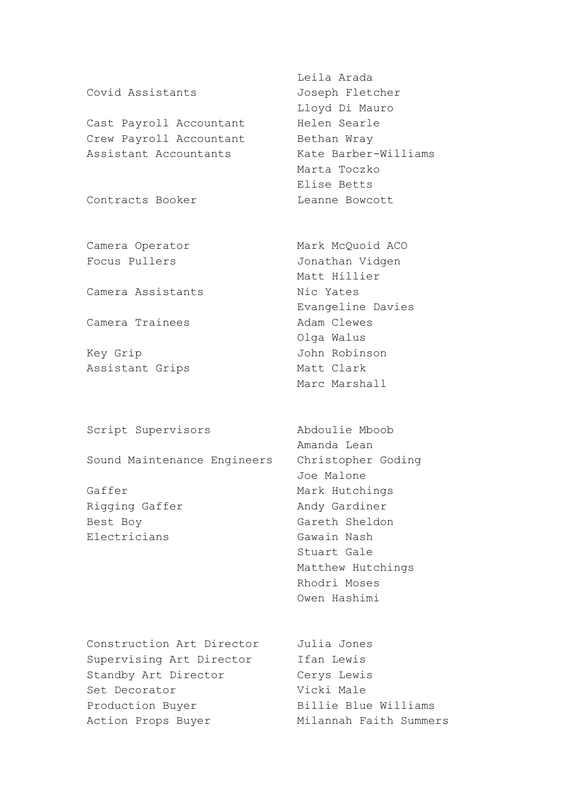Cast Payroll Accountant Helen Searle Crew Payroll Accountant Bethan Wray Assistant Accountants Kate Barber-Williams

Camera Assistants Mic Yates

Camera Trainees **Adam Clewes** 

Key Grip John Robinson Assistant Grips Matt Clark

Script Supervisors Abdoulie Mboob

Sound Maintenance Engineers Christopher Goding

Rigging Gaffer Andy Gardiner Best Boy Gareth Sheldon Electricians Gawain Nash

Construction Art Director Julia Jones Supervising Art Director Ifan Lewis Standby Art Director Cerys Lewis Set Decorator **Vicki Male** Production Buyer Billie Blue Williams Action Props Buyer Milannah Faith Summers

Leila Arada Covid Assistants Joseph Fletcher Lloyd Di Mauro Marta Toczko Elise Betts Contracts Booker Leanne Bowcott

Camera Operator Mark McQuoid ACO Focus Pullers **Manual** Jonathan Vidgen Matt Hillier Evangeline Davies Olga Walus Marc Marshall

Amanda Lean Joe Malone Gaffer Mark Hutchings Stuart Gale Matthew Hutchings Rhodri Moses Owen Hashimi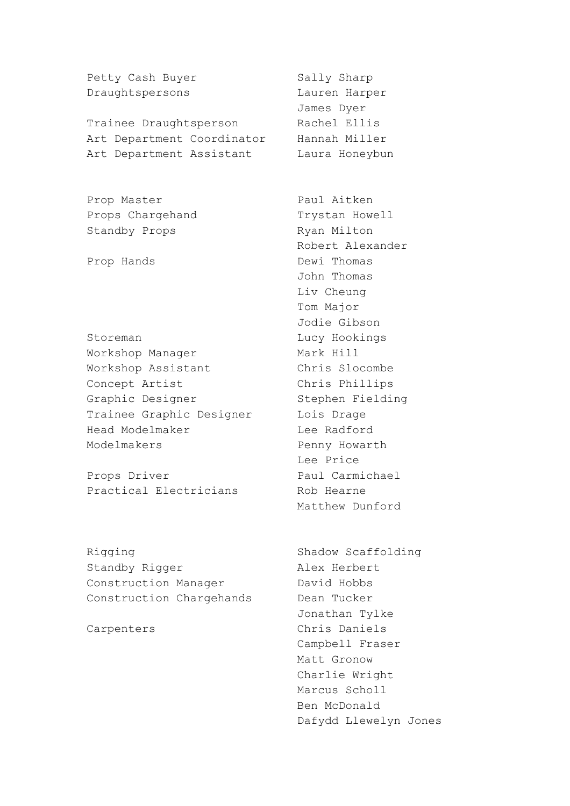Petty Cash Buyer Sally Sharp Draughtspersons Lauren Harper

Trainee Draughtsperson Rachel Ellis Art Department Coordinator Hannah Miller Art Department Assistant Laura Honeybun

Prop Master Paul Aitken Props Chargehand Trystan Howell Standby Props Ryan Milton

Storeman Lucy Hookings Workshop Manager Mark Hill Workshop Assistant Chris Slocombe Concept Artist Chris Phillips Graphic Designer Stephen Fielding Trainee Graphic Designer Lois Drage Head Modelmaker Lee Radford Modelmakers **Penny Howarth** 

Props Driver Paul Carmichael Practical Electricians Rob Hearne

Rigging Shadow Scaffolding Standby Rigger Alex Herbert Construction Manager David Hobbs Construction Chargehands Dean Tucker

James Dyer

Robert Alexander Prop Hands **Dewi** Thomas John Thomas Liv Cheung Tom Major Jodie Gibson Lee Price Matthew Dunford

Jonathan Tylke Carpenters Chris Daniels Campbell Fraser Matt Gronow Charlie Wright Marcus Scholl Ben McDonald Dafydd Llewelyn Jones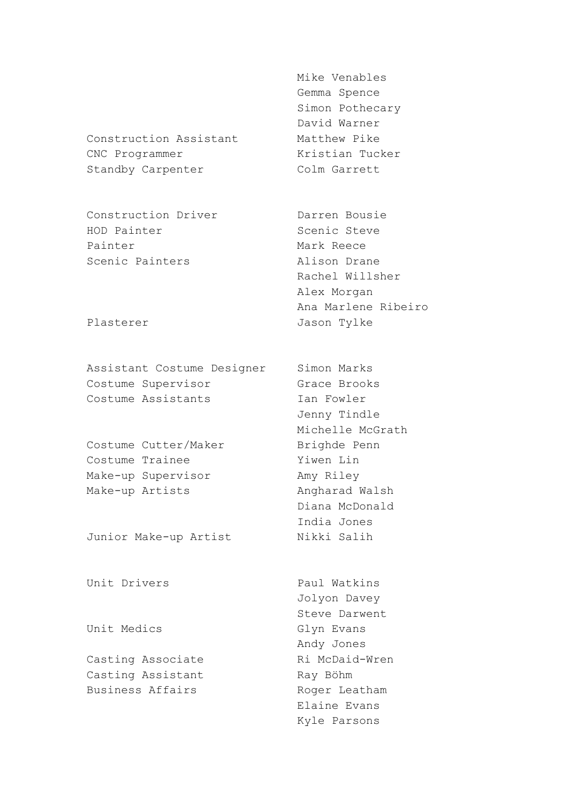Construction Assistant Matthew Pike CNC Programmer Kristian Tucker Standby Carpenter Colm Garrett

Construction Driver **Darren Bousie** HOD Painter Scenic Steve Painter Mark Reece Scenic Painters **Alison Drane** 

Assistant Costume Designer Simon Marks Costume Supervisor Grace Brooks Costume Assistants **Ian Fowler** 

Costume Cutter/Maker Brighde Penn Costume Trainee Yiwen Lin Make-up Supervisor Amy Riley Make-up Artists Angharad Walsh

Junior Make-up Artist Nikki Salih

Unit Drivers **Paul Watkins** 

Casting Assistant Ray Böhm Business Affairs **Roger Leatham** 

Mike Venables Gemma Spence Simon Pothecary David Warner

Rachel Willsher Alex Morgan Ana Marlene Ribeiro Plasterer Jason Tylke

> Jenny Tindle Michelle McGrath Diana McDonald India Jones

Jolyon Davey Steve Darwent Unit Medics Glyn Evans Andy Jones Casting Associate **Ri McDaid-Wren** Elaine Evans Kyle Parsons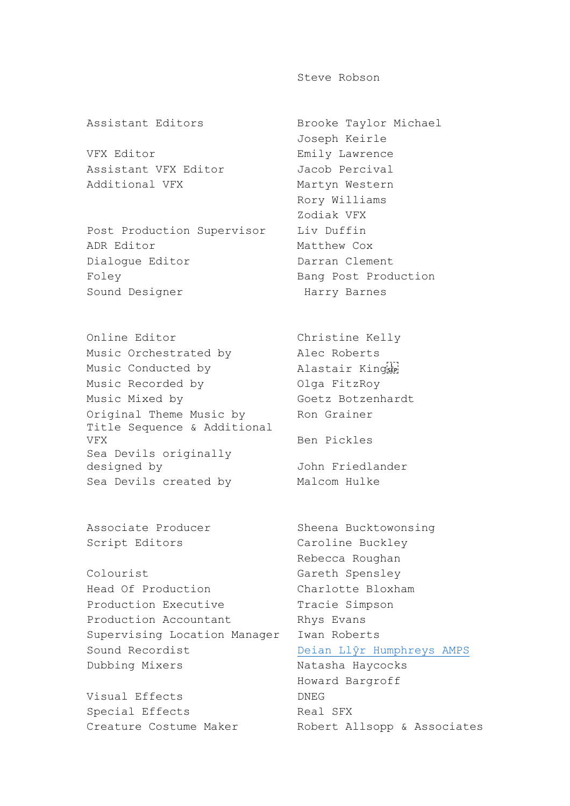Steve Robson

VFX Editor **Emily Lawrence** Assistant VFX Editor Jacob Percival Additional VFX Martyn Western

Post Production Supervisor Liv Duffin ADR Editor Matthew Cox Dialogue Editor **Darran Clement** Foley **Bang Post Production** Sound Designer Harry Barnes

Online Editor Christine Kelly Music Orchestrated by Alec Roberts Music Conducted by **Alastair King** Music Recorded by **Olga FitzRoy** Music Mixed by Goetz Botzenhardt Original Theme Music by Ron Grainer Title Sequence & Additional VFX Ben Pickles Sea Devils originally designed by John Friedlander Sea Devils created by Malcom Hulke

Script Editors Caroline Buckley

Colourist Gareth Spensley Head Of Production Charlotte Bloxham Production Executive Tracie Simpson Production Accountant Rhys Evans Supervising Location Manager Iwan Roberts Sound Recordist **[Deian Llŷr Humphreys AMPS](http://en.wikipedia.org/wiki/%C5%B6)** Dubbing Mixers Natasha Haycocks

Visual Effects DNEG Special Effects Real SFX Creature Costume Maker Robert Allsopp & Associates

Assistant Editors Brooke Taylor Michael Joseph Keirle Rory Williams Zodiak VFX

Associate Producer Sheena Bucktowonsing Rebecca Roughan Howard Bargroff